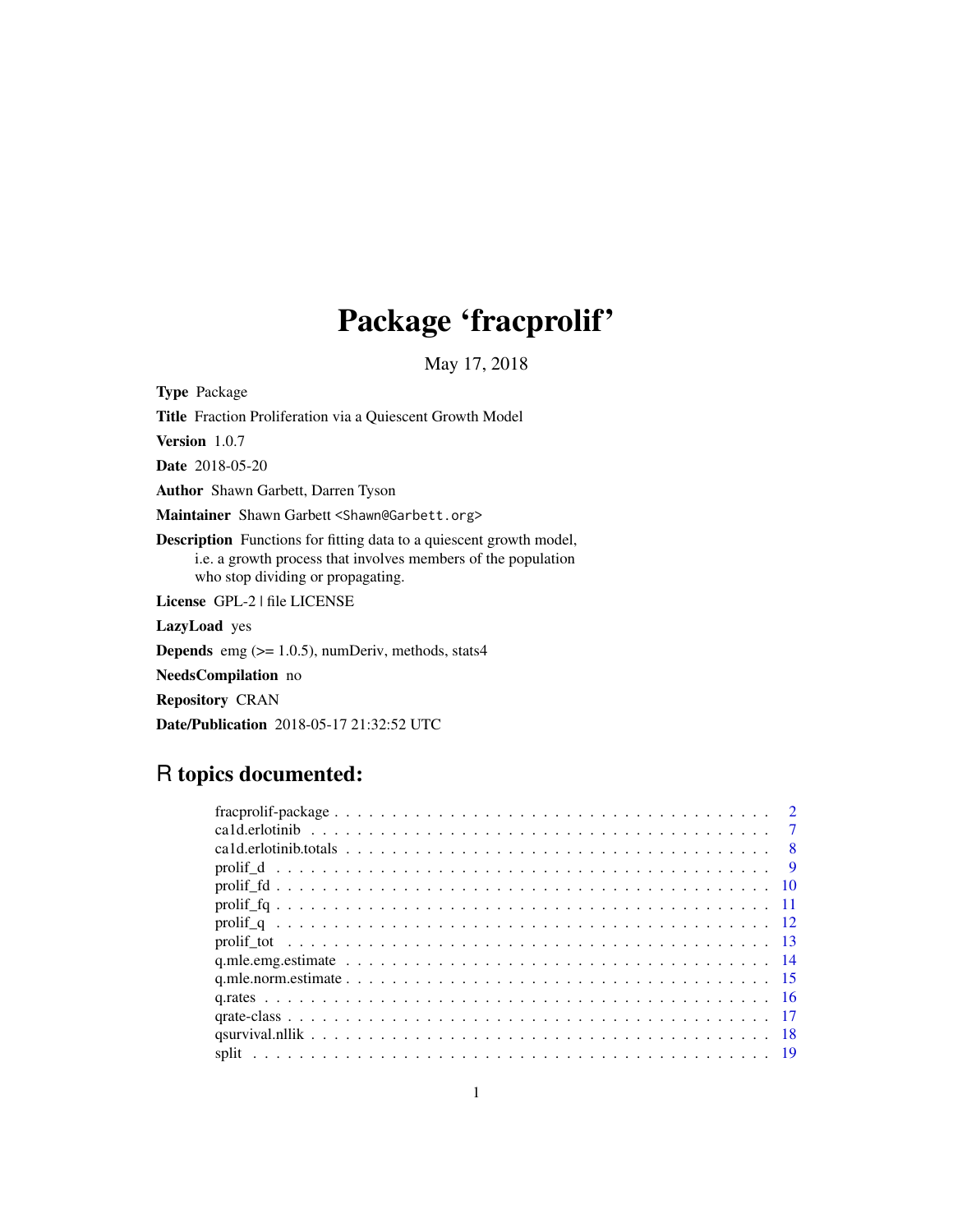# Package 'fracprolif'

May 17, 2018

<span id="page-0-0"></span>

| <b>Type</b> Package                                                                                                                                                              |
|----------------------------------------------------------------------------------------------------------------------------------------------------------------------------------|
| <b>Title</b> Fraction Proliferation via a Quiescent Growth Model                                                                                                                 |
| <b>Version</b> $1.0.7$                                                                                                                                                           |
| <b>Date</b> 2018-05-20                                                                                                                                                           |
| <b>Author</b> Shawn Garbett, Darren Tyson                                                                                                                                        |
| Maintainer Shawn Garbett <shawn@garbett.org></shawn@garbett.org>                                                                                                                 |
| <b>Description</b> Functions for fitting data to a quiescent growth model,<br>i.e. a growth process that involves members of the population<br>who stop dividing or propagating. |
| License GPL-2   file LICENSE                                                                                                                                                     |
| <b>LazyLoad</b> yes                                                                                                                                                              |
| <b>Depends</b> emg $(>= 1.0.5)$ , numDeriv, methods, stats4                                                                                                                      |
| <b>NeedsCompilation</b> no                                                                                                                                                       |
| <b>Repository CRAN</b>                                                                                                                                                           |
| <b>Date/Publication</b> 2018-05-17 21:32:52 UTC                                                                                                                                  |

## R topics documented:

|  |  | $\overline{2}$ |
|--|--|----------------|
|  |  | $\overline{7}$ |
|  |  |                |
|  |  |                |
|  |  |                |
|  |  |                |
|  |  |                |
|  |  |                |
|  |  |                |
|  |  |                |
|  |  |                |
|  |  |                |
|  |  |                |
|  |  |                |
|  |  |                |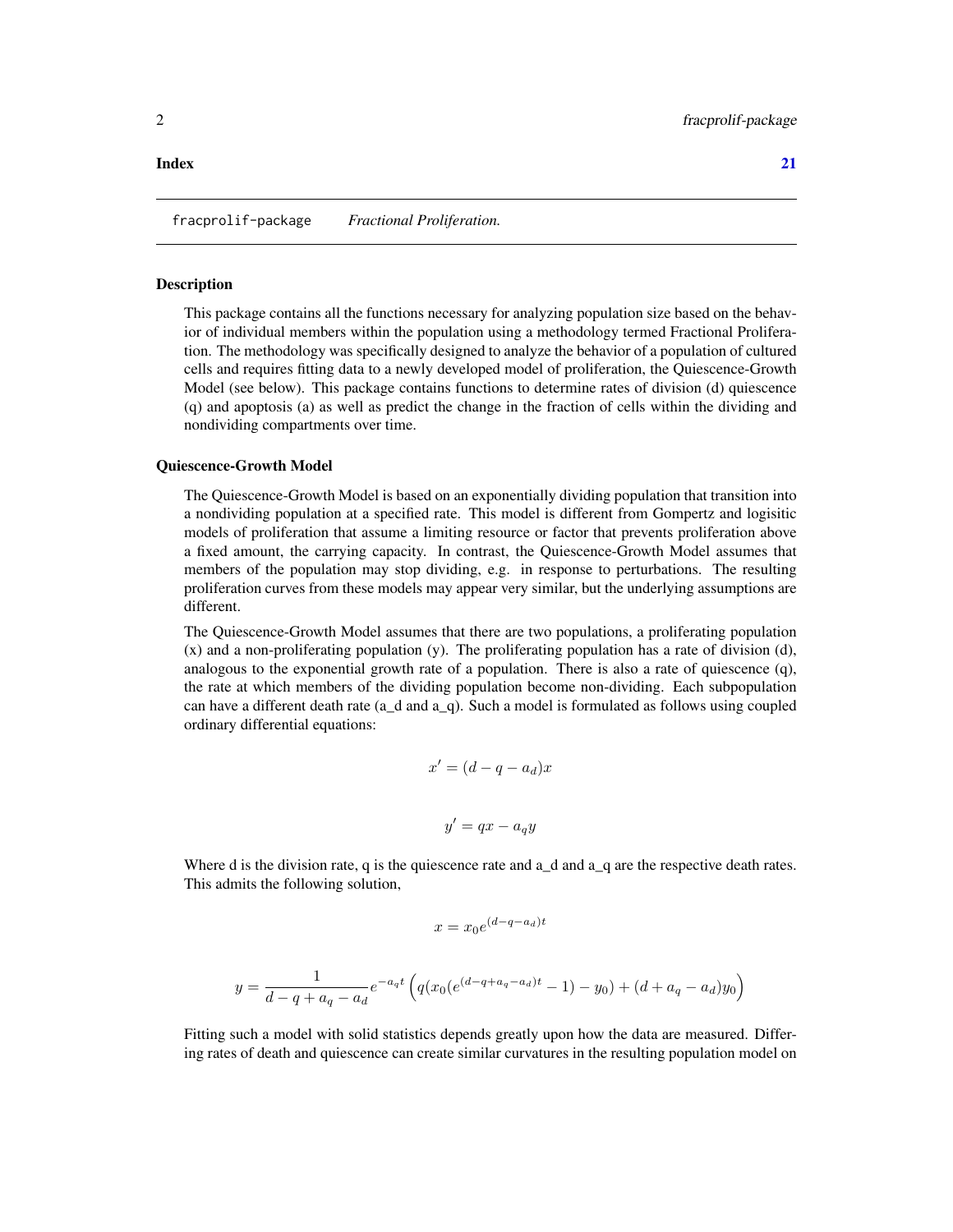#### <span id="page-1-0"></span>**Index** [21](#page-20-0)

fracprolif-package *Fractional Proliferation.*

#### **Description**

This package contains all the functions necessary for analyzing population size based on the behavior of individual members within the population using a methodology termed Fractional Proliferation. The methodology was specifically designed to analyze the behavior of a population of cultured cells and requires fitting data to a newly developed model of proliferation, the Quiescence-Growth Model (see below). This package contains functions to determine rates of division (d) quiescence (q) and apoptosis (a) as well as predict the change in the fraction of cells within the dividing and nondividing compartments over time.

#### Quiescence-Growth Model

The Quiescence-Growth Model is based on an exponentially dividing population that transition into a nondividing population at a specified rate. This model is different from Gompertz and logisitic models of proliferation that assume a limiting resource or factor that prevents proliferation above a fixed amount, the carrying capacity. In contrast, the Quiescence-Growth Model assumes that members of the population may stop dividing, e.g. in response to perturbations. The resulting proliferation curves from these models may appear very similar, but the underlying assumptions are different.

The Quiescence-Growth Model assumes that there are two populations, a proliferating population (x) and a non-proliferating population (y). The proliferating population has a rate of division (d), analogous to the exponential growth rate of a population. There is also a rate of quiescence (q), the rate at which members of the dividing population become non-dividing. Each subpopulation can have a different death rate (a\_d and a\_q). Such a model is formulated as follows using coupled ordinary differential equations:

$$
x' = (d - q - a_d)x
$$

$$
y' = qx - a_qy
$$

Where d is the division rate, q is the quiescence rate and  $a_d$  and  $a_q$  are the respective death rates. This admits the following solution,

$$
x=x_0e^{(d-q-a_d)t}\\
$$

$$
y = \frac{1}{d - q + a_q - a_d} e^{-a_q t} \left( q(x_0 (e^{(d - q + a_q - a_d)t} - 1) - y_0) + (d + a_q - a_d) y_0 \right)
$$

Fitting such a model with solid statistics depends greatly upon how the data are measured. Differing rates of death and quiescence can create similar curvatures in the resulting population model on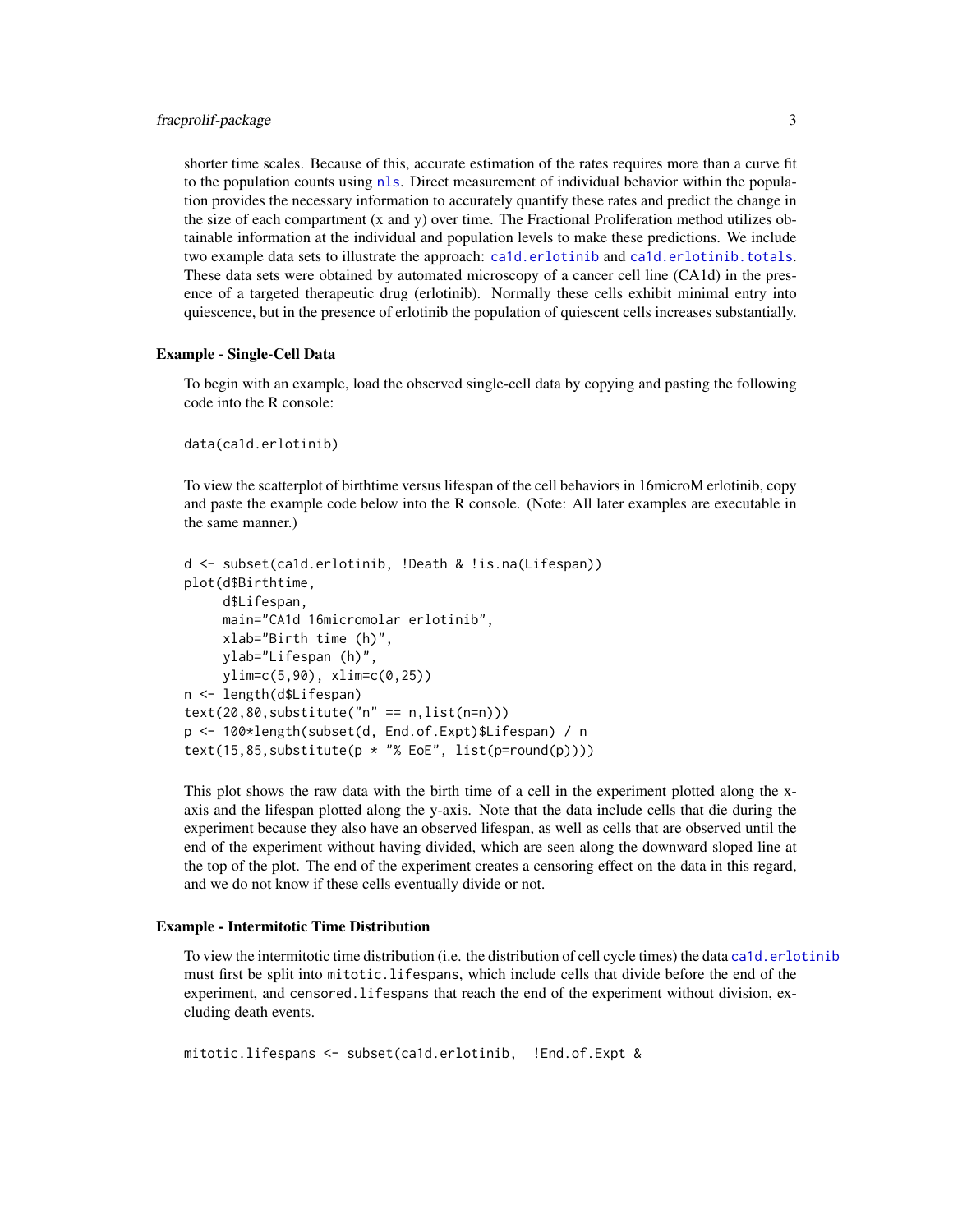<span id="page-2-0"></span>shorter time scales. Because of this, accurate estimation of the rates requires more than a curve fit to the population counts using [nls](#page-0-0). Direct measurement of individual behavior within the population provides the necessary information to accurately quantify these rates and predict the change in the size of each compartment (x and y) over time. The Fractional Proliferation method utilizes obtainable information at the individual and population levels to make these predictions. We include two example data sets to illustrate the approach: [ca1d.erlotinib](#page-6-1) and [ca1d.erlotinib.totals](#page-7-1). These data sets were obtained by automated microscopy of a cancer cell line (CA1d) in the presence of a targeted therapeutic drug (erlotinib). Normally these cells exhibit minimal entry into quiescence, but in the presence of erlotinib the population of quiescent cells increases substantially.

#### Example - Single-Cell Data

To begin with an example, load the observed single-cell data by copying and pasting the following code into the R console:

```
data(ca1d.erlotinib)
```
To view the scatterplot of birthtime versus lifespan of the cell behaviors in 16microM erlotinib, copy and paste the example code below into the R console. (Note: All later examples are executable in the same manner.)

```
d <- subset(ca1d.erlotinib, !Death & !is.na(Lifespan))
plot(d$Birthtime,
    d$Lifespan,
    main="CA1d 16micromolar erlotinib",
    xlab="Birth time (h)",
    ylab="Lifespan (h)",
    ylim=c(5,90), xlim=c(0,25))
n <- length(d$Lifespan)
text(20,80,substitute("n" == n, list(n=n)))p <- 100*length(subset(d, End.of.Expt)$Lifespan) / n
text(15,85,substitute(p * "% EoE", list(p=round(p))))
```
This plot shows the raw data with the birth time of a cell in the experiment plotted along the xaxis and the lifespan plotted along the y-axis. Note that the data include cells that die during the experiment because they also have an observed lifespan, as well as cells that are observed until the end of the experiment without having divided, which are seen along the downward sloped line at the top of the plot. The end of the experiment creates a censoring effect on the data in this regard, and we do not know if these cells eventually divide or not.

#### Example - Intermitotic Time Distribution

To view the intermitotic time distribution (i.e. the distribution of cell cycle times) the data [ca1d.erlotinib](#page-6-1) must first be split into mitotic.lifespans, which include cells that divide before the end of the experiment, and censored.lifespans that reach the end of the experiment without division, excluding death events.

```
mitotic.lifespans <- subset(ca1d.erlotinib, !End.of.Expt &
```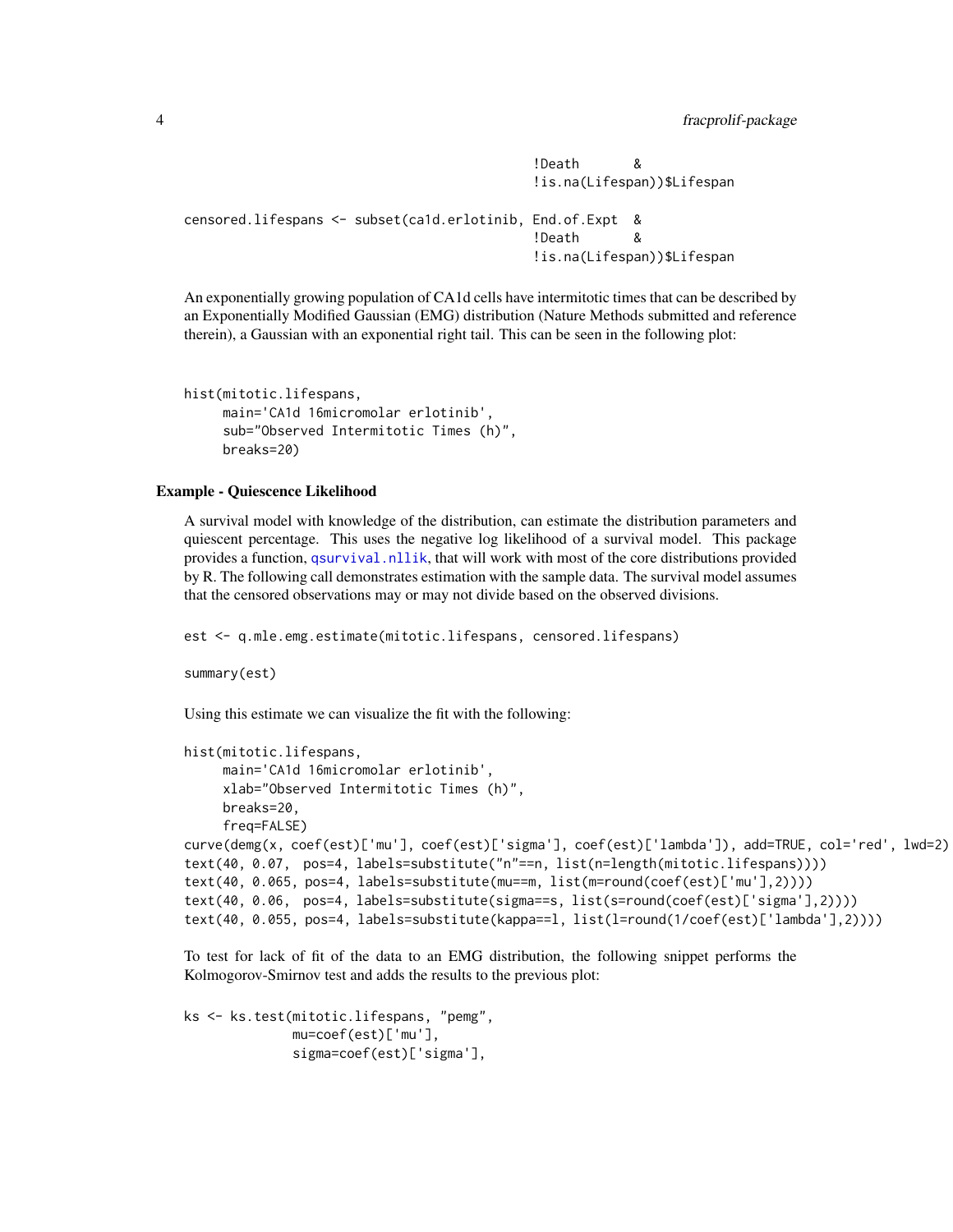!Death & !is.na(Lifespan))\$Lifespan

```
censored.lifespans <- subset(ca1d.erlotinib, End.of.Expt &
                                           !Death &
                                           !is.na(Lifespan))$Lifespan
```
An exponentially growing population of CA1d cells have intermitotic times that can be described by an Exponentially Modified Gaussian (EMG) distribution (Nature Methods submitted and reference therein), a Gaussian with an exponential right tail. This can be seen in the following plot:

```
hist(mitotic.lifespans,
     main='CA1d 16micromolar erlotinib',
     sub="Observed Intermitotic Times (h)",
     breaks=20)
```
#### Example - Quiescence Likelihood

A survival model with knowledge of the distribution, can estimate the distribution parameters and quiescent percentage. This uses the negative log likelihood of a survival model. This package provides a function, [qsurvival.nllik](#page-17-1), that will work with most of the core distributions provided by R. The following call demonstrates estimation with the sample data. The survival model assumes that the censored observations may or may not divide based on the observed divisions.

est <- q.mle.emg.estimate(mitotic.lifespans, censored.lifespans)

summary(est)

Using this estimate we can visualize the fit with the following:

```
hist(mitotic.lifespans,
    main='CA1d 16micromolar erlotinib',
    xlab="Observed Intermitotic Times (h)",
    breaks=20,
    freq=FALSE)
curve(demg(x, coef(est)['mu'], coef(est)['sigma'], coef(est)['lambda']), add=TRUE, col='red', lwd=2)
text(40, 0.07, pos=4, labels=substitute("n"==n, list(n=length(mitotic.lifespans))))
text(40, 0.065, pos=4, labels=substitute(mu==m, list(m=round(coef(est)['mu'],2))))
text(40, 0.06, pos=4, labels=substitute(sigma==s, list(s=round(coef(est)['sigma'],2))))
text(40, 0.055, pos=4, labels=substitute(kappa==l, list(l=round(1/coef(est)['lambda'],2))))
```
To test for lack of fit of the data to an EMG distribution, the following snippet performs the Kolmogorov-Smirnov test and adds the results to the previous plot:

```
ks <- ks.test(mitotic.lifespans, "pemg",
              mu=coef(est)['mu'],
              sigma=coef(est)['sigma'],
```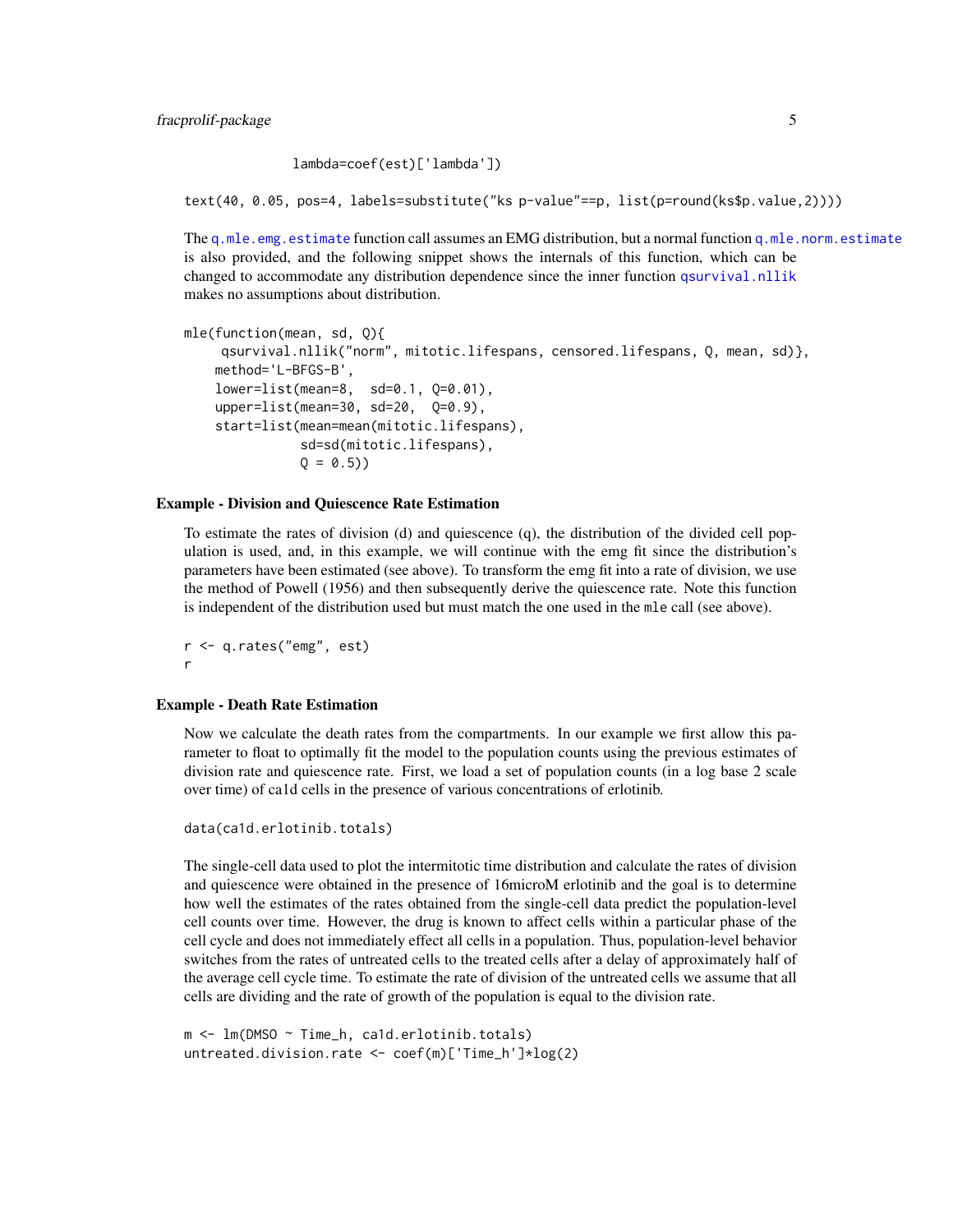```
lambda=coef(est)['lambda'])
```
<span id="page-4-0"></span>text(40, 0.05, pos=4, labels=substitute("ks p-value"==p, list(p=round(ks\$p.value,2))))

The [q.mle.emg.estimate](#page-13-1) function call assumes an EMG distribution, but a normal function [q.mle.norm.estimate](#page-14-1) is also provided, and the following snippet shows the internals of this function, which can be changed to accommodate any distribution dependence since the inner function [qsurvival.nllik](#page-17-1) makes no assumptions about distribution.

```
mle(function(mean, sd, Q){
    qsurvival.nllik("norm", mitotic.lifespans, censored.lifespans, Q, mean, sd)},
   method='L-BFGS-B',
   lower=list(mean=8, sd=0.1, Q=0.01),
   upper=list(mean=30, sd=20, 0=0.9),
   start=list(mean=mean(mitotic.lifespans),
              sd=sd(mitotic.lifespans),
              Q = 0.5)
```
#### Example - Division and Quiescence Rate Estimation

To estimate the rates of division (d) and quiescence (q), the distribution of the divided cell population is used, and, in this example, we will continue with the emg fit since the distribution's parameters have been estimated (see above). To transform the emg fit into a rate of division, we use the method of Powell (1956) and then subsequently derive the quiescence rate. Note this function is independent of the distribution used but must match the one used in the mle call (see above).

r <- q.rates("emg", est) r

#### Example - Death Rate Estimation

Now we calculate the death rates from the compartments. In our example we first allow this parameter to float to optimally fit the model to the population counts using the previous estimates of division rate and quiescence rate. First, we load a set of population counts (in a log base 2 scale over time) of ca1d cells in the presence of various concentrations of erlotinib.

```
data(ca1d.erlotinib.totals)
```
The single-cell data used to plot the intermitotic time distribution and calculate the rates of division and quiescence were obtained in the presence of 16microM erlotinib and the goal is to determine how well the estimates of the rates obtained from the single-cell data predict the population-level cell counts over time. However, the drug is known to affect cells within a particular phase of the cell cycle and does not immediately effect all cells in a population. Thus, population-level behavior switches from the rates of untreated cells to the treated cells after a delay of approximately half of the average cell cycle time. To estimate the rate of division of the untreated cells we assume that all cells are dividing and the rate of growth of the population is equal to the division rate.

```
m <- lm(DMSO ~ Time_h, ca1d.erlotinib.totals)
untreated.division.rate <- coef(m)['Time_h']*log(2)
```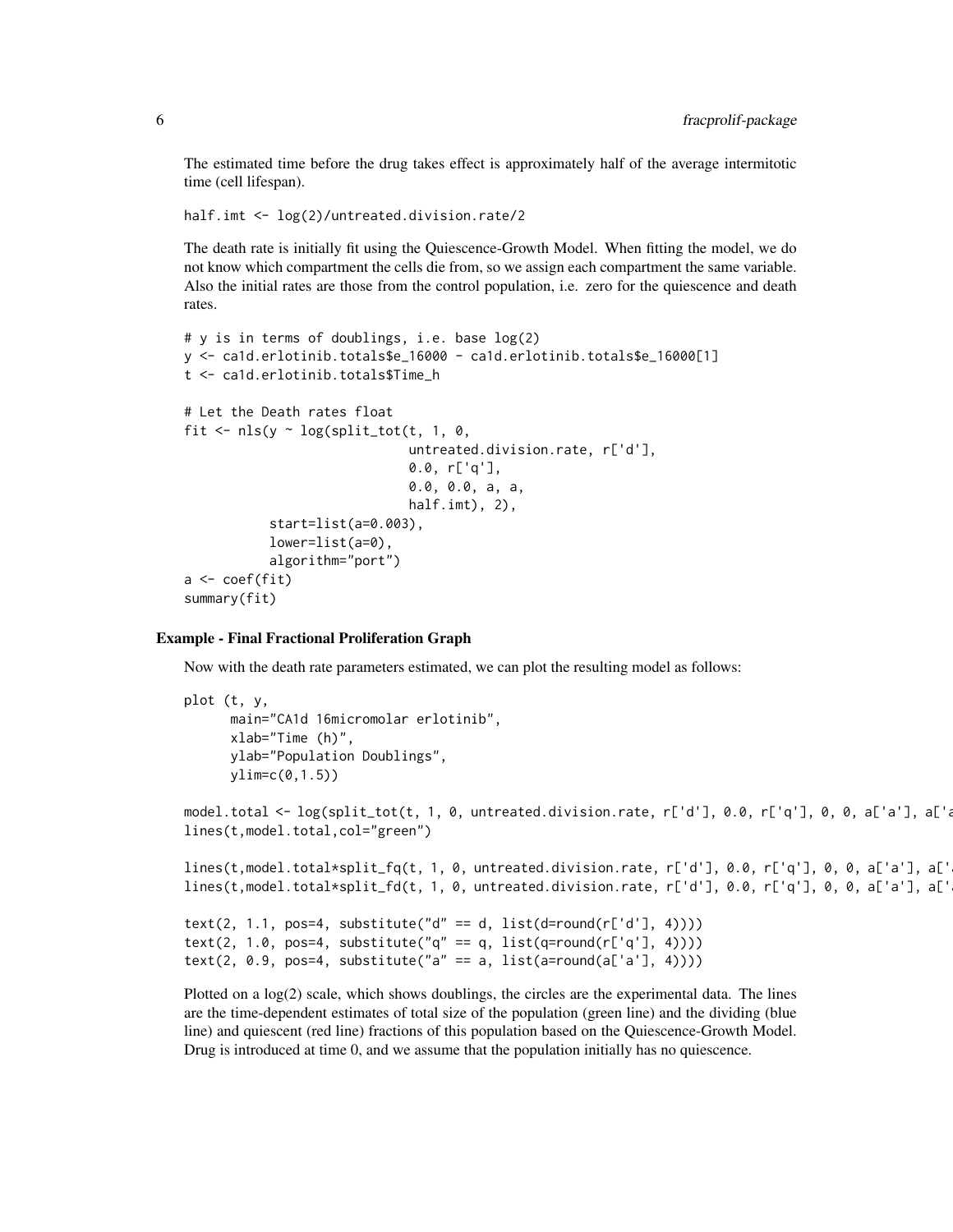The estimated time before the drug takes effect is approximately half of the average intermitotic time (cell lifespan).

```
half.imt <- log(2)/untreated.division.rate/2
```
The death rate is initially fit using the Quiescence-Growth Model. When fitting the model, we do not know which compartment the cells die from, so we assign each compartment the same variable. Also the initial rates are those from the control population, i.e. zero for the quiescence and death rates.

```
# y is in terms of doublings, i.e. base log(2)
y <- ca1d.erlotinib.totals$e_16000 - ca1d.erlotinib.totals$e_16000[1]
t <- ca1d.erlotinib.totals$Time_h
# Let the Death rates float
fit \leq nls(y \sim log(split_tot(t, 1, 0,
                              untreated.division.rate, r['d'],
                              0.0, r['q'],
                              0.0, 0.0, a, a,
                              half.imt), 2),
           start=list(a=0.003),
           lower=list(a=0),
           algorithm="port")
a <- coef(fit)
summary(fit)
```
#### Example - Final Fractional Proliferation Graph

Now with the death rate parameters estimated, we can plot the resulting model as follows:

```
plot (t, y,
     main="CA1d 16micromolar erlotinib",
     xlab="Time (h)",
     ylab="Population Doublings",
     ylim=c(0,1.5))model.total <- log(split_tot(t, 1, 0, untreated.division.rate, r['d'], 0.0, r['q'], 0, 0, a['a'], a['a
lines(t,model.total,col="green")
lines(t,model.total*split_fq(t, 1, 0, untreated.division.rate, r['d'], 0.0, r['q'], 0, 0, a['a'], a['
lines(t,model.total*split_fd(t, 1, 0, untreated.division.rate, r['d'], 0.0, r['q'], 0, 0, a['a'], a['
text(2, 1.1, pos=4, substitute("d" == d, list(d=round(r['d'], 4))))
text(2, 1.0, pos=4, substitute("q" == q, list(q=round(r['q'], 4))))
text(2, 0.9, pos=4, substitute("a" == a, list(a=round(a['a'], 4))))
```
Plotted on a log(2) scale, which shows doublings, the circles are the experimental data. The lines are the time-dependent estimates of total size of the population (green line) and the dividing (blue line) and quiescent (red line) fractions of this population based on the Quiescence-Growth Model. Drug is introduced at time 0, and we assume that the population initially has no quiescence.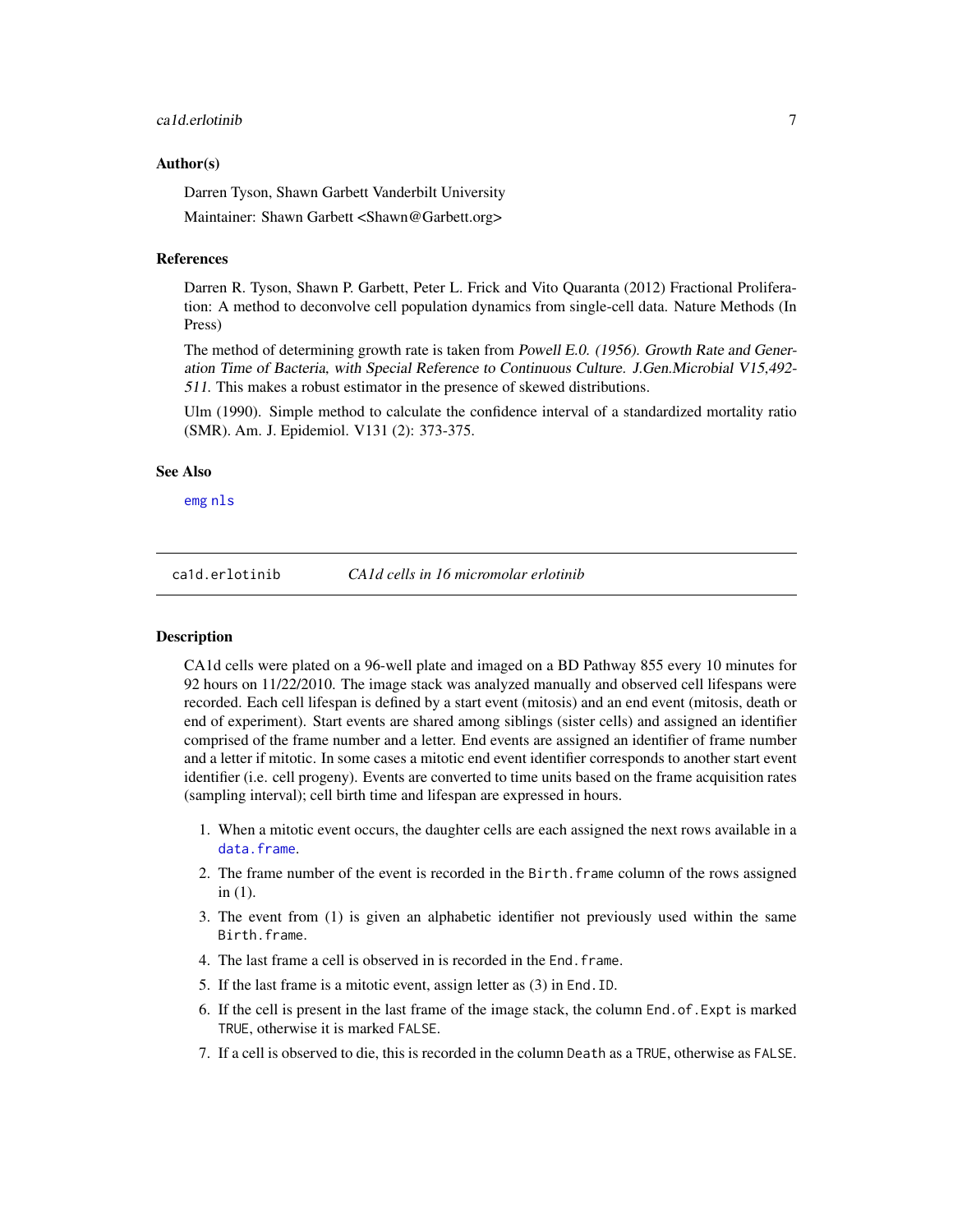#### <span id="page-6-0"></span>ca1d.erlotinib 7

#### Author(s)

Darren Tyson, Shawn Garbett Vanderbilt University

Maintainer: Shawn Garbett <Shawn@Garbett.org>

#### References

Darren R. Tyson, Shawn P. Garbett, Peter L. Frick and Vito Quaranta (2012) Fractional Proliferation: A method to deconvolve cell population dynamics from single-cell data. Nature Methods (In Press)

The method of determining growth rate is taken from Powell E.O. (1956). Growth Rate and Generation Time of Bacteria, with Special Reference to Continuous Culture. J.Gen.Microbial V15,492- 511. This makes a robust estimator in the presence of skewed distributions.

Ulm (1990). Simple method to calculate the confidence interval of a standardized mortality ratio (SMR). Am. J. Epidemiol. V131 (2): 373-375.

#### See Also

[emg](#page-0-0) [nls](#page-0-0)

<span id="page-6-1"></span>ca1d.erlotinib *CA1d cells in 16 micromolar erlotinib*

#### **Description**

CA1d cells were plated on a 96-well plate and imaged on a BD Pathway 855 every 10 minutes for 92 hours on 11/22/2010. The image stack was analyzed manually and observed cell lifespans were recorded. Each cell lifespan is defined by a start event (mitosis) and an end event (mitosis, death or end of experiment). Start events are shared among siblings (sister cells) and assigned an identifier comprised of the frame number and a letter. End events are assigned an identifier of frame number and a letter if mitotic. In some cases a mitotic end event identifier corresponds to another start event identifier (i.e. cell progeny). Events are converted to time units based on the frame acquisition rates (sampling interval); cell birth time and lifespan are expressed in hours.

- 1. When a mitotic event occurs, the daughter cells are each assigned the next rows available in a [data.frame](#page-0-0).
- 2. The frame number of the event is recorded in the Birth.frame column of the rows assigned in (1).
- 3. The event from (1) is given an alphabetic identifier not previously used within the same Birth.frame.
- 4. The last frame a cell is observed in is recorded in the End.frame.
- 5. If the last frame is a mitotic event, assign letter as (3) in End.ID.
- 6. If the cell is present in the last frame of the image stack, the column End.of.Expt is marked TRUE, otherwise it is marked FALSE.
- 7. If a cell is observed to die, this is recorded in the column Death as a TRUE, otherwise as FALSE.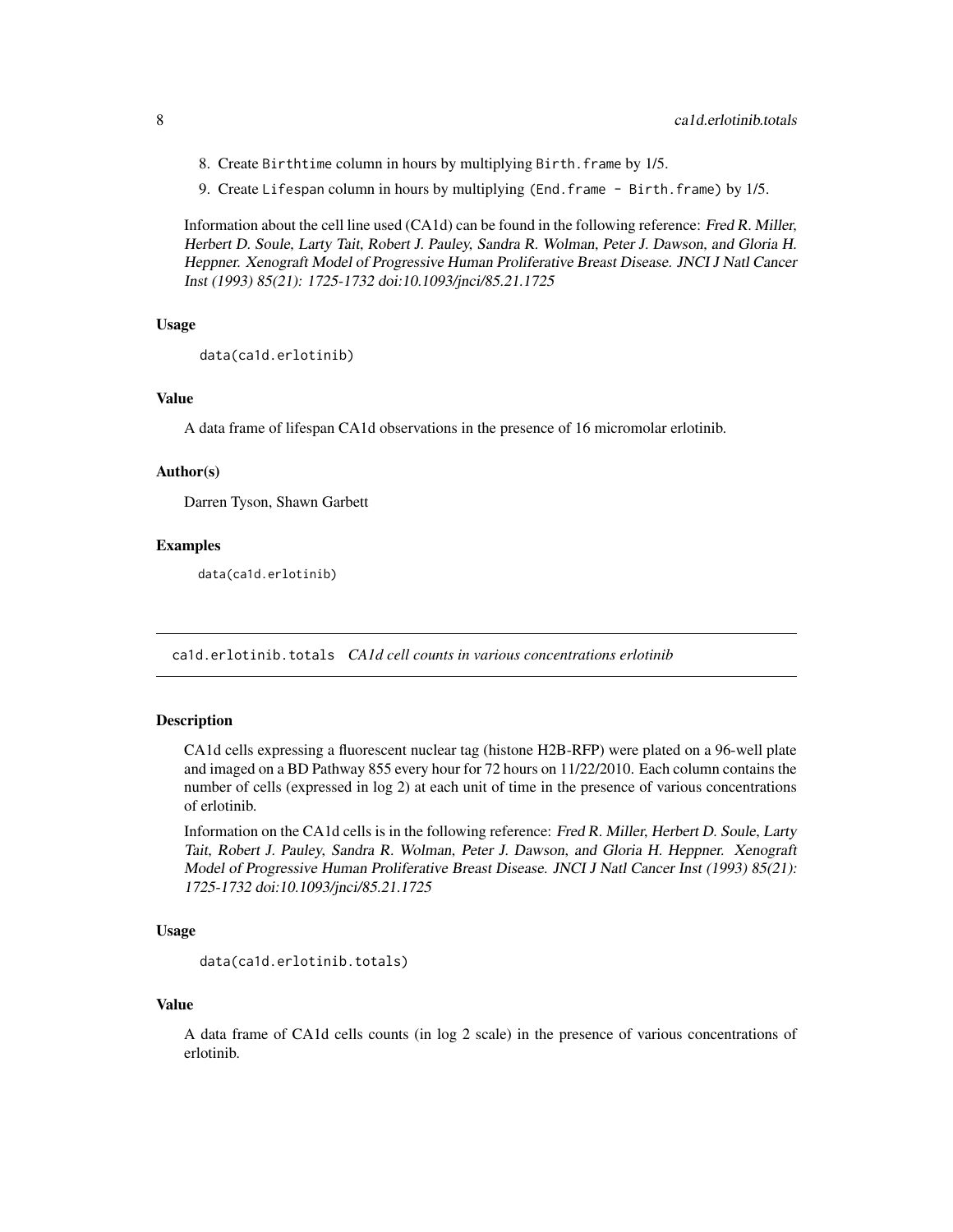- <span id="page-7-0"></span>8. Create Birthtime column in hours by multiplying Birth.frame by 1/5.
- 9. Create Lifespan column in hours by multiplying (End.frame Birth.frame) by 1/5.

Information about the cell line used (CA1d) can be found in the following reference: Fred R. Miller, Herbert D. Soule, Larty Tait, Robert J. Pauley, Sandra R. Wolman, Peter J. Dawson, and Gloria H. Heppner. Xenograft Model of Progressive Human Proliferative Breast Disease. JNCI J Natl Cancer Inst (1993) 85(21): 1725-1732 doi:10.1093/jnci/85.21.1725

#### Usage

```
data(ca1d.erlotinib)
```
#### Value

A data frame of lifespan CA1d observations in the presence of 16 micromolar erlotinib.

#### Author(s)

Darren Tyson, Shawn Garbett

#### Examples

data(ca1d.erlotinib)

<span id="page-7-1"></span>ca1d.erlotinib.totals *CA1d cell counts in various concentrations erlotinib*

#### Description

CA1d cells expressing a fluorescent nuclear tag (histone H2B-RFP) were plated on a 96-well plate and imaged on a BD Pathway 855 every hour for 72 hours on 11/22/2010. Each column contains the number of cells (expressed in log 2) at each unit of time in the presence of various concentrations of erlotinib.

Information on the CA1d cells is in the following reference: Fred R. Miller, Herbert D. Soule, Larty Tait, Robert J. Pauley, Sandra R. Wolman, Peter J. Dawson, and Gloria H. Heppner. Xenograft Model of Progressive Human Proliferative Breast Disease. JNCI J Natl Cancer Inst (1993) 85(21): 1725-1732 doi:10.1093/jnci/85.21.1725

### Usage

```
data(ca1d.erlotinib.totals)
```
#### Value

A data frame of CA1d cells counts (in log 2 scale) in the presence of various concentrations of erlotinib.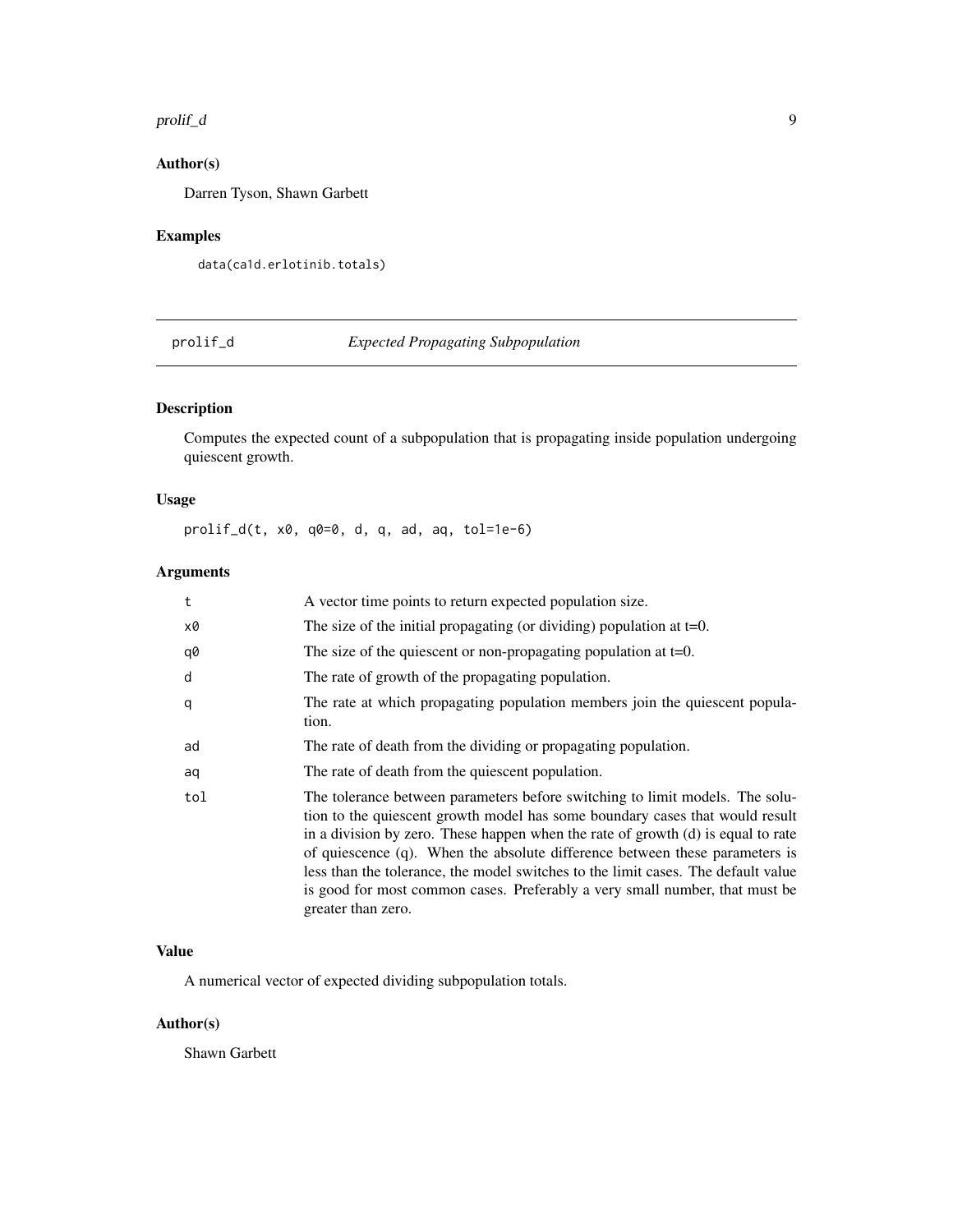#### <span id="page-8-0"></span>prolif\_d 9

### Author(s)

Darren Tyson, Shawn Garbett

### Examples

```
data(ca1d.erlotinib.totals)
```
<span id="page-8-1"></span>prolif\_d *Expected Propagating Subpopulation*

### Description

Computes the expected count of a subpopulation that is propagating inside population undergoing quiescent growth.

### Usage

prolif\_d(t, x0, q0=0, d, q, ad, aq, tol=1e-6)

### Arguments

| t   | A vector time points to return expected population size.                                                                                                                                                                                                                                                                                                                                                                                                                                                                       |
|-----|--------------------------------------------------------------------------------------------------------------------------------------------------------------------------------------------------------------------------------------------------------------------------------------------------------------------------------------------------------------------------------------------------------------------------------------------------------------------------------------------------------------------------------|
| x0  | The size of the initial propagating (or dividing) population at $t=0$ .                                                                                                                                                                                                                                                                                                                                                                                                                                                        |
| q0  | The size of the quiescent or non-propagating population at $t=0$ .                                                                                                                                                                                                                                                                                                                                                                                                                                                             |
| d   | The rate of growth of the propagating population.                                                                                                                                                                                                                                                                                                                                                                                                                                                                              |
| q   | The rate at which propagating population members join the quiescent popula-<br>tion.                                                                                                                                                                                                                                                                                                                                                                                                                                           |
| ad  | The rate of death from the dividing or propagating population.                                                                                                                                                                                                                                                                                                                                                                                                                                                                 |
| aq  | The rate of death from the quiescent population.                                                                                                                                                                                                                                                                                                                                                                                                                                                                               |
| tol | The tolerance between parameters before switching to limit models. The solu-<br>tion to the quiescent growth model has some boundary cases that would result<br>in a division by zero. These happen when the rate of growth $(d)$ is equal to rate<br>of quiescence $(q)$ . When the absolute difference between these parameters is<br>less than the tolerance, the model switches to the limit cases. The default value<br>is good for most common cases. Preferably a very small number, that must be<br>greater than zero. |

### Value

A numerical vector of expected dividing subpopulation totals.

### Author(s)

Shawn Garbett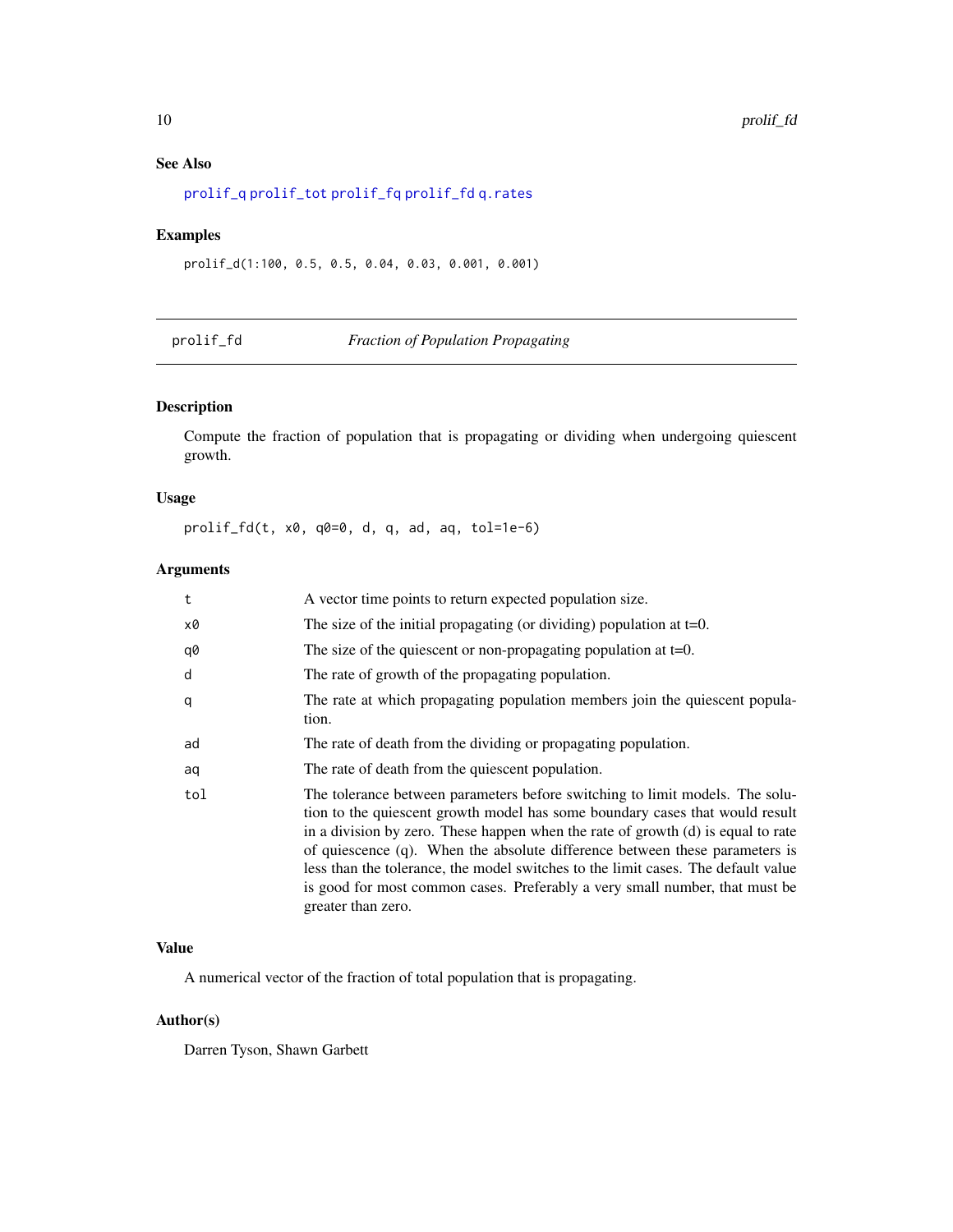### See Also

[prolif\\_q](#page-11-1) [prolif\\_tot](#page-12-1) [prolif\\_fq](#page-10-1) [prolif\\_fd](#page-9-1) [q.rates](#page-15-1)

### Examples

prolif\_d(1:100, 0.5, 0.5, 0.04, 0.03, 0.001, 0.001)

<span id="page-9-1"></span>prolif\_fd *Fraction of Population Propagating*

### Description

Compute the fraction of population that is propagating or dividing when undergoing quiescent growth.

### Usage

prolif\_fd(t, x0, q0=0, d, q, ad, aq, tol=1e-6)

### Arguments

| t   | A vector time points to return expected population size.                                                                                                                                                                                                                                                                                                                                                                                                                                                                  |
|-----|---------------------------------------------------------------------------------------------------------------------------------------------------------------------------------------------------------------------------------------------------------------------------------------------------------------------------------------------------------------------------------------------------------------------------------------------------------------------------------------------------------------------------|
| x0  | The size of the initial propagating (or dividing) population at $t=0$ .                                                                                                                                                                                                                                                                                                                                                                                                                                                   |
| q0  | The size of the quiescent or non-propagating population at $t=0$ .                                                                                                                                                                                                                                                                                                                                                                                                                                                        |
| d   | The rate of growth of the propagating population.                                                                                                                                                                                                                                                                                                                                                                                                                                                                         |
| q   | The rate at which propagating population members join the quiescent popula-<br>tion.                                                                                                                                                                                                                                                                                                                                                                                                                                      |
| ad  | The rate of death from the dividing or propagating population.                                                                                                                                                                                                                                                                                                                                                                                                                                                            |
| aq  | The rate of death from the quiescent population.                                                                                                                                                                                                                                                                                                                                                                                                                                                                          |
| tol | The tolerance between parameters before switching to limit models. The solu-<br>tion to the quiescent growth model has some boundary cases that would result<br>in a division by zero. These happen when the rate of growth (d) is equal to rate<br>of quiescence (q). When the absolute difference between these parameters is<br>less than the tolerance, the model switches to the limit cases. The default value<br>is good for most common cases. Preferably a very small number, that must be<br>greater than zero. |

### Value

A numerical vector of the fraction of total population that is propagating.

### Author(s)

Darren Tyson, Shawn Garbett

<span id="page-9-0"></span>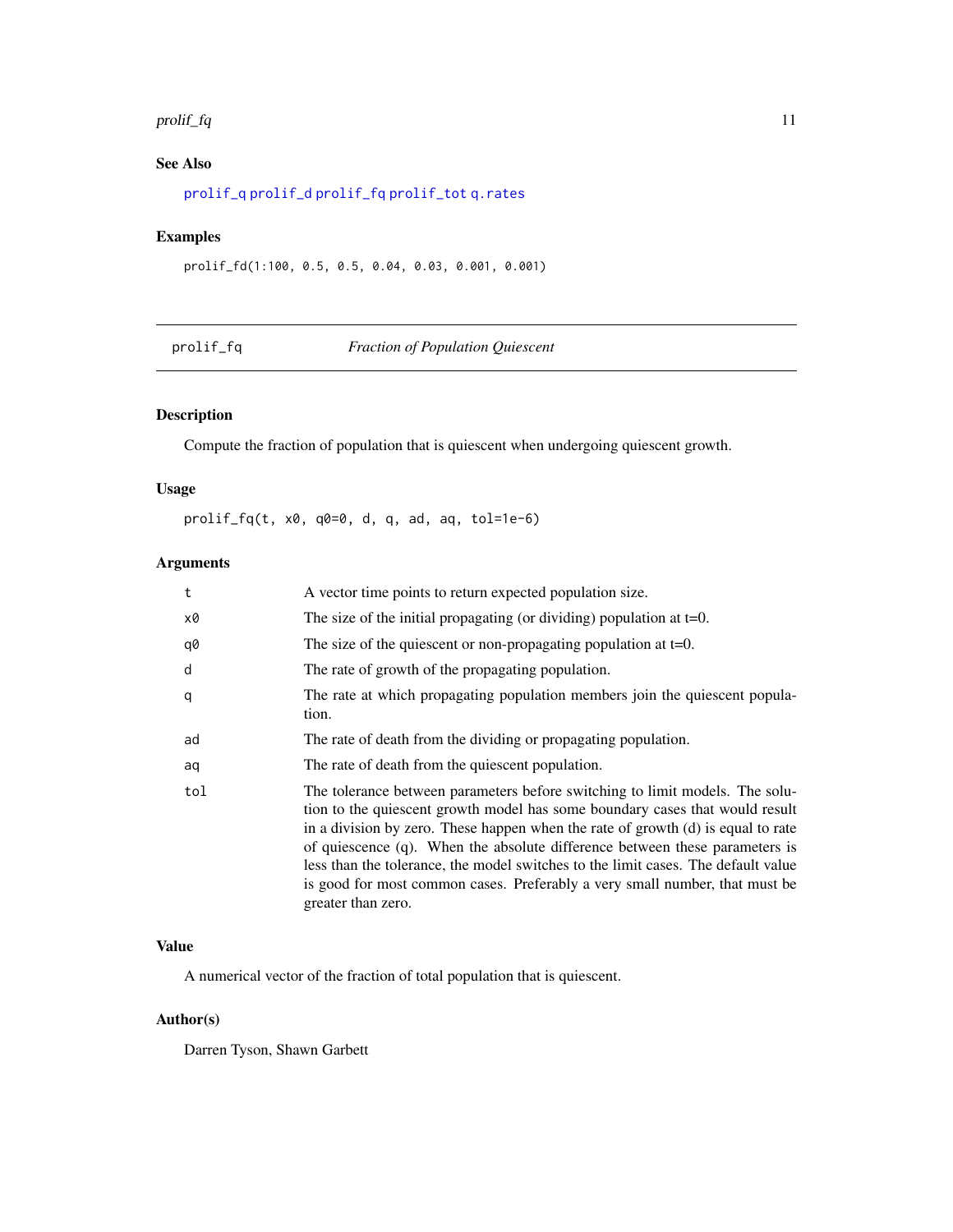#### <span id="page-10-0"></span> $prol$ if\_fq  $\qquad \qquad$  11

### See Also

[prolif\\_q](#page-11-1) [prolif\\_d](#page-8-1) [prolif\\_fq](#page-10-1) [prolif\\_tot](#page-12-1) [q.rates](#page-15-1)

### Examples

prolif\_fd(1:100, 0.5, 0.5, 0.04, 0.03, 0.001, 0.001)

<span id="page-10-1"></span>

| pro Li |  |
|--------|--|
|        |  |

### **Fraction of Population Quiescent**

### Description

Compute the fraction of population that is quiescent when undergoing quiescent growth.

### Usage

prolif\_fq(t, x0, q0=0, d, q, ad, aq, tol=1e-6)

### Arguments

| t   | A vector time points to return expected population size.                                                                                                                                                                                                                                                                                                                                                                                                                                                                  |
|-----|---------------------------------------------------------------------------------------------------------------------------------------------------------------------------------------------------------------------------------------------------------------------------------------------------------------------------------------------------------------------------------------------------------------------------------------------------------------------------------------------------------------------------|
| х0  | The size of the initial propagating (or dividing) population at $t=0$ .                                                                                                                                                                                                                                                                                                                                                                                                                                                   |
| q0  | The size of the quiescent or non-propagating population at $t=0$ .                                                                                                                                                                                                                                                                                                                                                                                                                                                        |
| d   | The rate of growth of the propagating population.                                                                                                                                                                                                                                                                                                                                                                                                                                                                         |
| q   | The rate at which propagating population members join the quiescent popula-<br>tion.                                                                                                                                                                                                                                                                                                                                                                                                                                      |
| ad  | The rate of death from the dividing or propagating population.                                                                                                                                                                                                                                                                                                                                                                                                                                                            |
| aq  | The rate of death from the quiescent population.                                                                                                                                                                                                                                                                                                                                                                                                                                                                          |
| tol | The tolerance between parameters before switching to limit models. The solu-<br>tion to the quiescent growth model has some boundary cases that would result<br>in a division by zero. These happen when the rate of growth (d) is equal to rate<br>of quiescence (q). When the absolute difference between these parameters is<br>less than the tolerance, the model switches to the limit cases. The default value<br>is good for most common cases. Preferably a very small number, that must be<br>greater than zero. |

### Value

A numerical vector of the fraction of total population that is quiescent.

### Author(s)

Darren Tyson, Shawn Garbett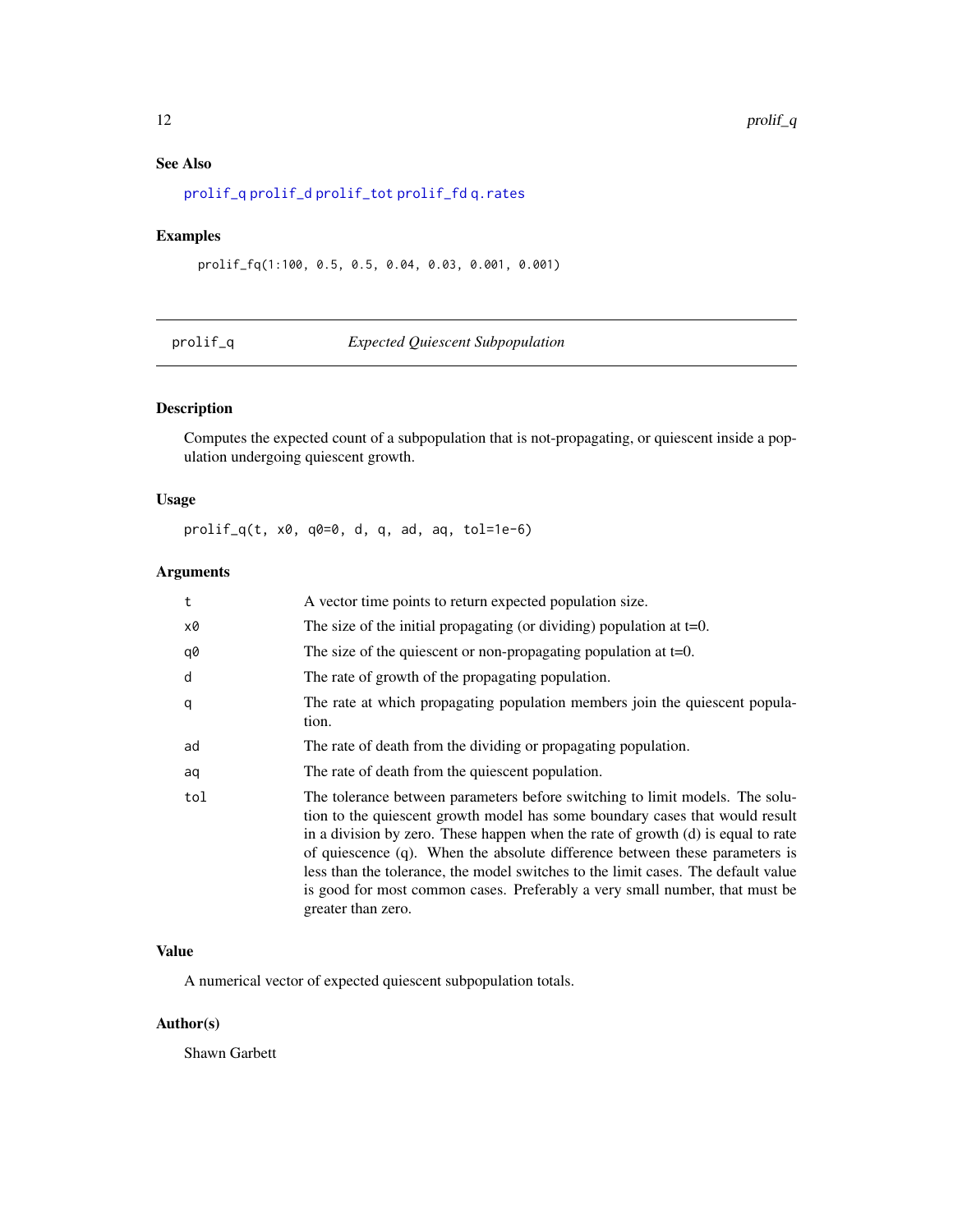### <span id="page-11-0"></span>See Also

[prolif\\_q](#page-11-1) [prolif\\_d](#page-8-1) [prolif\\_tot](#page-12-1) [prolif\\_fd](#page-9-1) [q.rates](#page-15-1)

### Examples

prolif\_fq(1:100, 0.5, 0.5, 0.04, 0.03, 0.001, 0.001)

<span id="page-11-1"></span>

| prolit |  |  |
|--------|--|--|
|        |  |  |

### $Expected$  *Quiescent Subpopulation*

### Description

Computes the expected count of a subpopulation that is not-propagating, or quiescent inside a population undergoing quiescent growth.

### Usage

prolif\_q(t, x0, q0=0, d, q, ad, aq, tol=1e-6)

### Arguments

| t   | A vector time points to return expected population size.                                                                                                                                                                                                                                                                                                                                                                                                                                                                       |
|-----|--------------------------------------------------------------------------------------------------------------------------------------------------------------------------------------------------------------------------------------------------------------------------------------------------------------------------------------------------------------------------------------------------------------------------------------------------------------------------------------------------------------------------------|
| x0  | The size of the initial propagating (or dividing) population at $t=0$ .                                                                                                                                                                                                                                                                                                                                                                                                                                                        |
| q0  | The size of the quiescent or non-propagating population at $t=0$ .                                                                                                                                                                                                                                                                                                                                                                                                                                                             |
| d   | The rate of growth of the propagating population.                                                                                                                                                                                                                                                                                                                                                                                                                                                                              |
| q   | The rate at which propagating population members join the quiescent popula-<br>tion.                                                                                                                                                                                                                                                                                                                                                                                                                                           |
| ad  | The rate of death from the dividing or propagating population.                                                                                                                                                                                                                                                                                                                                                                                                                                                                 |
| aq  | The rate of death from the quiescent population.                                                                                                                                                                                                                                                                                                                                                                                                                                                                               |
| tol | The tolerance between parameters before switching to limit models. The solu-<br>tion to the quiescent growth model has some boundary cases that would result<br>in a division by zero. These happen when the rate of growth $(d)$ is equal to rate<br>of quiescence $(q)$ . When the absolute difference between these parameters is<br>less than the tolerance, the model switches to the limit cases. The default value<br>is good for most common cases. Preferably a very small number, that must be<br>greater than zero. |

### Value

A numerical vector of expected quiescent subpopulation totals.

### Author(s)

Shawn Garbett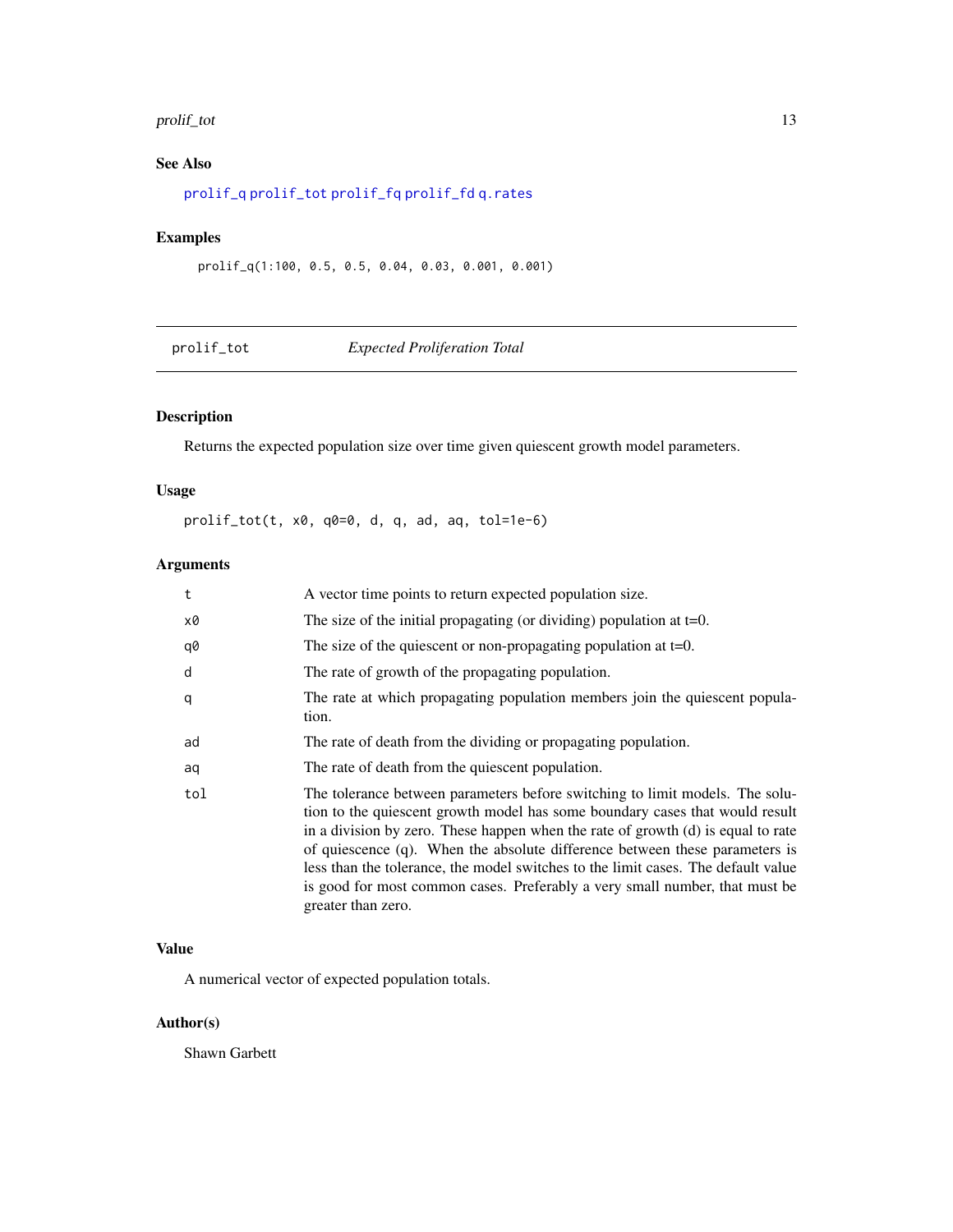#### <span id="page-12-0"></span>prolif\_tot 13

### See Also

[prolif\\_q](#page-11-1) [prolif\\_tot](#page-12-1) [prolif\\_fq](#page-10-1) [prolif\\_fd](#page-9-1) [q.rates](#page-15-1)

### Examples

prolif\_q(1:100, 0.5, 0.5, 0.04, 0.03, 0.001, 0.001)

<span id="page-12-1"></span>

| prolif_tot | <b>Expected Proliferation Total</b> |  |  |
|------------|-------------------------------------|--|--|
|            |                                     |  |  |

### Description

Returns the expected population size over time given quiescent growth model parameters.

### Usage

prolif\_tot(t, x0, q0=0, d, q, ad, aq, tol=1e-6)

### Arguments

| t   | A vector time points to return expected population size.                                                                                                                                                                                                                                                                                                                                                                                                                                                                  |
|-----|---------------------------------------------------------------------------------------------------------------------------------------------------------------------------------------------------------------------------------------------------------------------------------------------------------------------------------------------------------------------------------------------------------------------------------------------------------------------------------------------------------------------------|
| x0  | The size of the initial propagating (or dividing) population at $t=0$ .                                                                                                                                                                                                                                                                                                                                                                                                                                                   |
| q0  | The size of the quiescent or non-propagating population at $t=0$ .                                                                                                                                                                                                                                                                                                                                                                                                                                                        |
| d   | The rate of growth of the propagating population.                                                                                                                                                                                                                                                                                                                                                                                                                                                                         |
| q   | The rate at which propagating population members join the quiescent popula-<br>tion.                                                                                                                                                                                                                                                                                                                                                                                                                                      |
| ad  | The rate of death from the dividing or propagating population.                                                                                                                                                                                                                                                                                                                                                                                                                                                            |
| aq  | The rate of death from the quiescent population.                                                                                                                                                                                                                                                                                                                                                                                                                                                                          |
| tol | The tolerance between parameters before switching to limit models. The solu-<br>tion to the quiescent growth model has some boundary cases that would result<br>in a division by zero. These happen when the rate of growth (d) is equal to rate<br>of quiescence (q). When the absolute difference between these parameters is<br>less than the tolerance, the model switches to the limit cases. The default value<br>is good for most common cases. Preferably a very small number, that must be<br>greater than zero. |

### Value

A numerical vector of expected population totals.

### Author(s)

Shawn Garbett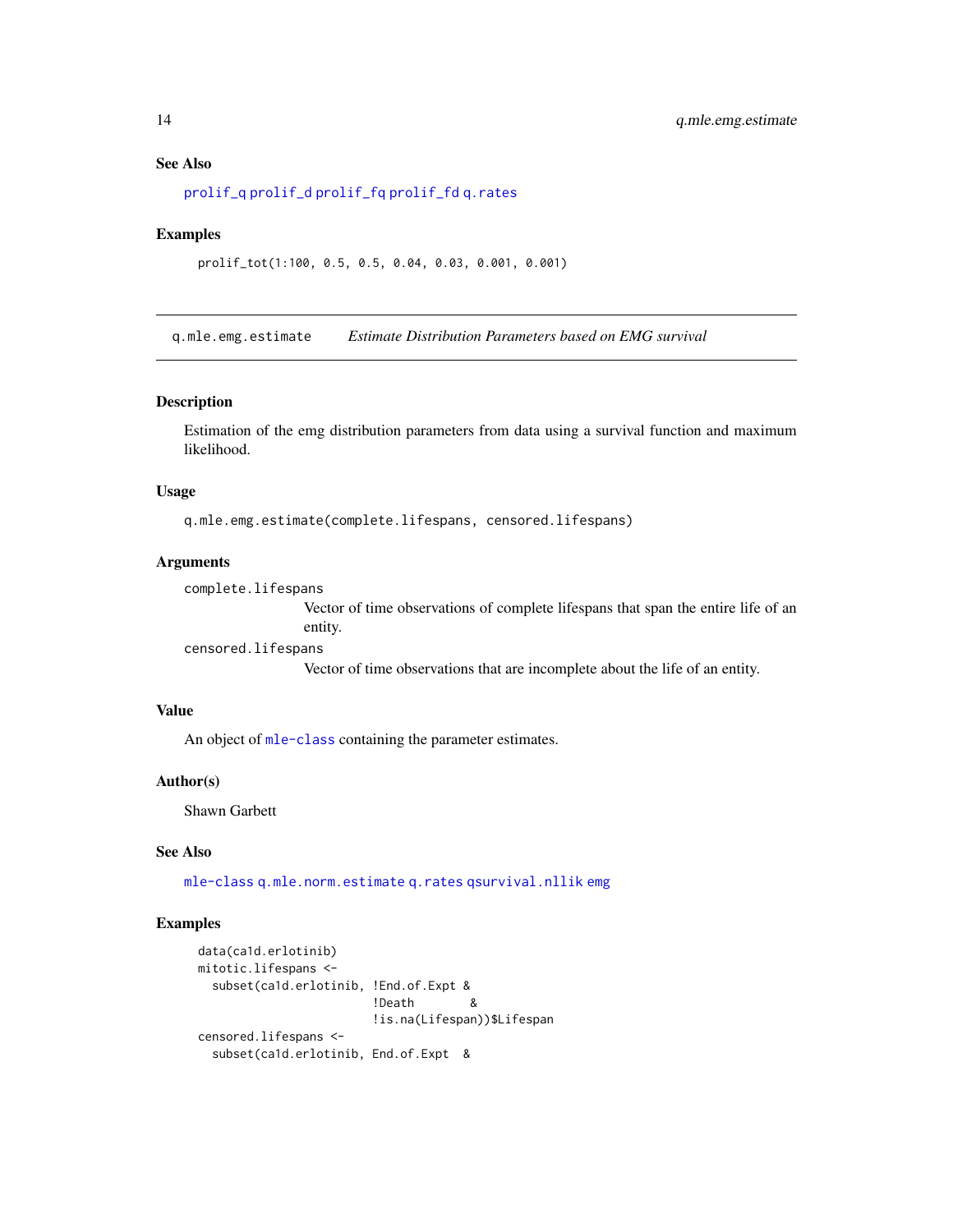#### <span id="page-13-0"></span>See Also

[prolif\\_q](#page-11-1) [prolif\\_d](#page-8-1) [prolif\\_fq](#page-10-1) [prolif\\_fd](#page-9-1) [q.rates](#page-15-1)

#### Examples

prolif\_tot(1:100, 0.5, 0.5, 0.04, 0.03, 0.001, 0.001)

<span id="page-13-1"></span>q.mle.emg.estimate *Estimate Distribution Parameters based on EMG survival*

### Description

Estimation of the emg distribution parameters from data using a survival function and maximum likelihood.

### Usage

q.mle.emg.estimate(complete.lifespans, censored.lifespans)

#### Arguments

```
complete.lifespans
```
Vector of time observations of complete lifespans that span the entire life of an entity.

censored.lifespans

Vector of time observations that are incomplete about the life of an entity.

### Value

An object of [mle-class](#page-0-0) containing the parameter estimates.

#### Author(s)

Shawn Garbett

### See Also

[mle-class](#page-0-0) [q.mle.norm.estimate](#page-14-1) [q.rates](#page-15-1) [qsurvival.nllik](#page-17-1) [emg](#page-0-0)

```
data(ca1d.erlotinib)
mitotic.lifespans <-
  subset(ca1d.erlotinib, !End.of.Expt &
                        !Death &
                        !is.na(Lifespan))$Lifespan
censored.lifespans <-
  subset(ca1d.erlotinib, End.of.Expt &
```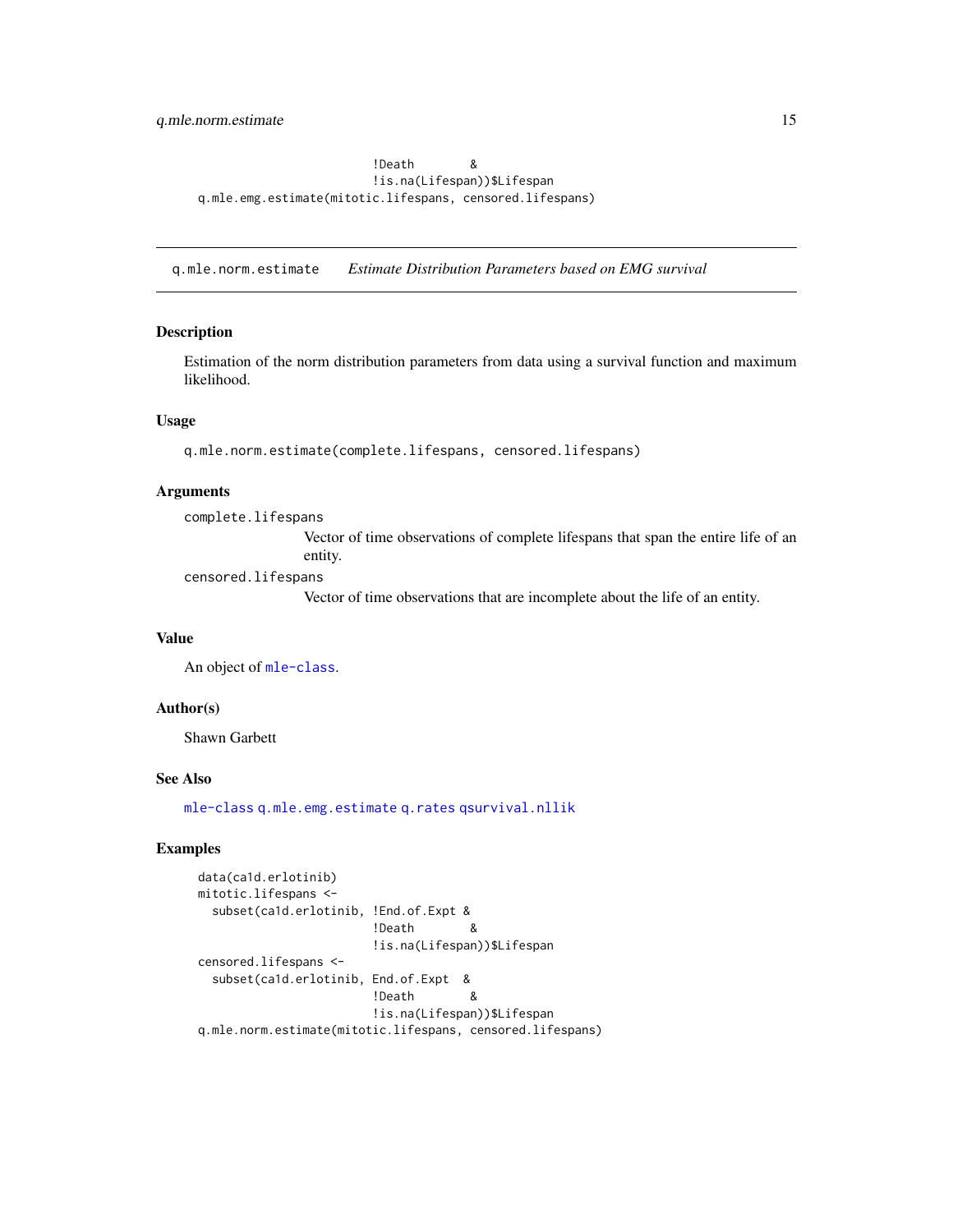<span id="page-14-0"></span>!Death & !is.na(Lifespan))\$Lifespan q.mle.emg.estimate(mitotic.lifespans, censored.lifespans)

<span id="page-14-1"></span>q.mle.norm.estimate *Estimate Distribution Parameters based on EMG survival*

### Description

Estimation of the norm distribution parameters from data using a survival function and maximum likelihood.

### Usage

q.mle.norm.estimate(complete.lifespans, censored.lifespans)

#### **Arguments**

complete.lifespans

Vector of time observations of complete lifespans that span the entire life of an entity.

censored.lifespans

Vector of time observations that are incomplete about the life of an entity.

### Value

An object of [mle-class](#page-0-0).

#### Author(s)

Shawn Garbett

### See Also

[mle-class](#page-0-0) [q.mle.emg.estimate](#page-13-1) [q.rates](#page-15-1) [qsurvival.nllik](#page-17-1)

```
data(ca1d.erlotinib)
mitotic.lifespans <-
  subset(ca1d.erlotinib, !End.of.Expt &
                        !Death &
                       !is.na(Lifespan))$Lifespan
censored.lifespans <-
  subset(ca1d.erlotinib, End.of.Expt &
                       !Death &
                        !is.na(Lifespan))$Lifespan
q.mle.norm.estimate(mitotic.lifespans, censored.lifespans)
```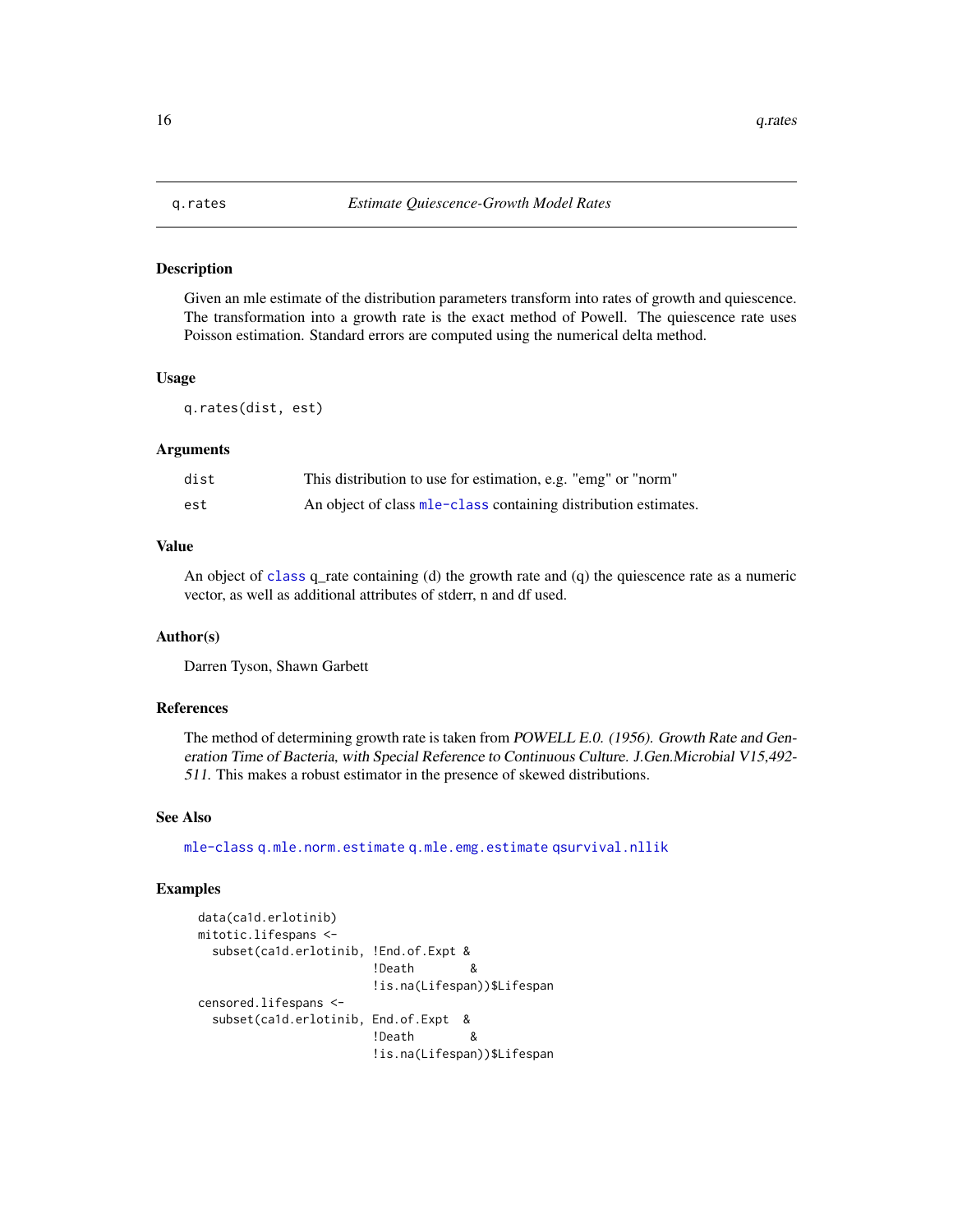<span id="page-15-1"></span><span id="page-15-0"></span>

#### Description

Given an mle estimate of the distribution parameters transform into rates of growth and quiescence. The transformation into a growth rate is the exact method of Powell. The quiescence rate uses Poisson estimation. Standard errors are computed using the numerical delta method.

#### Usage

q.rates(dist, est)

### Arguments

| dist | This distribution to use for estimation, e.g. "emg" or "norm"                |
|------|------------------------------------------------------------------------------|
| est  | An object of class m <sub>le</sub> -class containing distribution estimates. |

### Value

An object of [class](#page-0-0) q\_rate containing (d) the growth rate and (q) the quiescence rate as a numeric vector, as well as additional attributes of stderr, n and df used.

#### Author(s)

Darren Tyson, Shawn Garbett

### References

The method of determining growth rate is taken from POWELL E.0. (1956). Growth Rate and Generation Time of Bacteria, with Special Reference to Continuous Culture. J.Gen.Microbial V15,492- 511. This makes a robust estimator in the presence of skewed distributions.

#### See Also

[mle-class](#page-0-0) [q.mle.norm.estimate](#page-14-1) [q.mle.emg.estimate](#page-13-1) [qsurvival.nllik](#page-17-1)

```
data(ca1d.erlotinib)
mitotic.lifespans <-
  subset(ca1d.erlotinib, !End.of.Expt &
                       !Death &
                       !is.na(Lifespan))$Lifespan
censored.lifespans <-
  subset(ca1d.erlotinib, End.of.Expt &
                       !Death &
                       !is.na(Lifespan))$Lifespan
```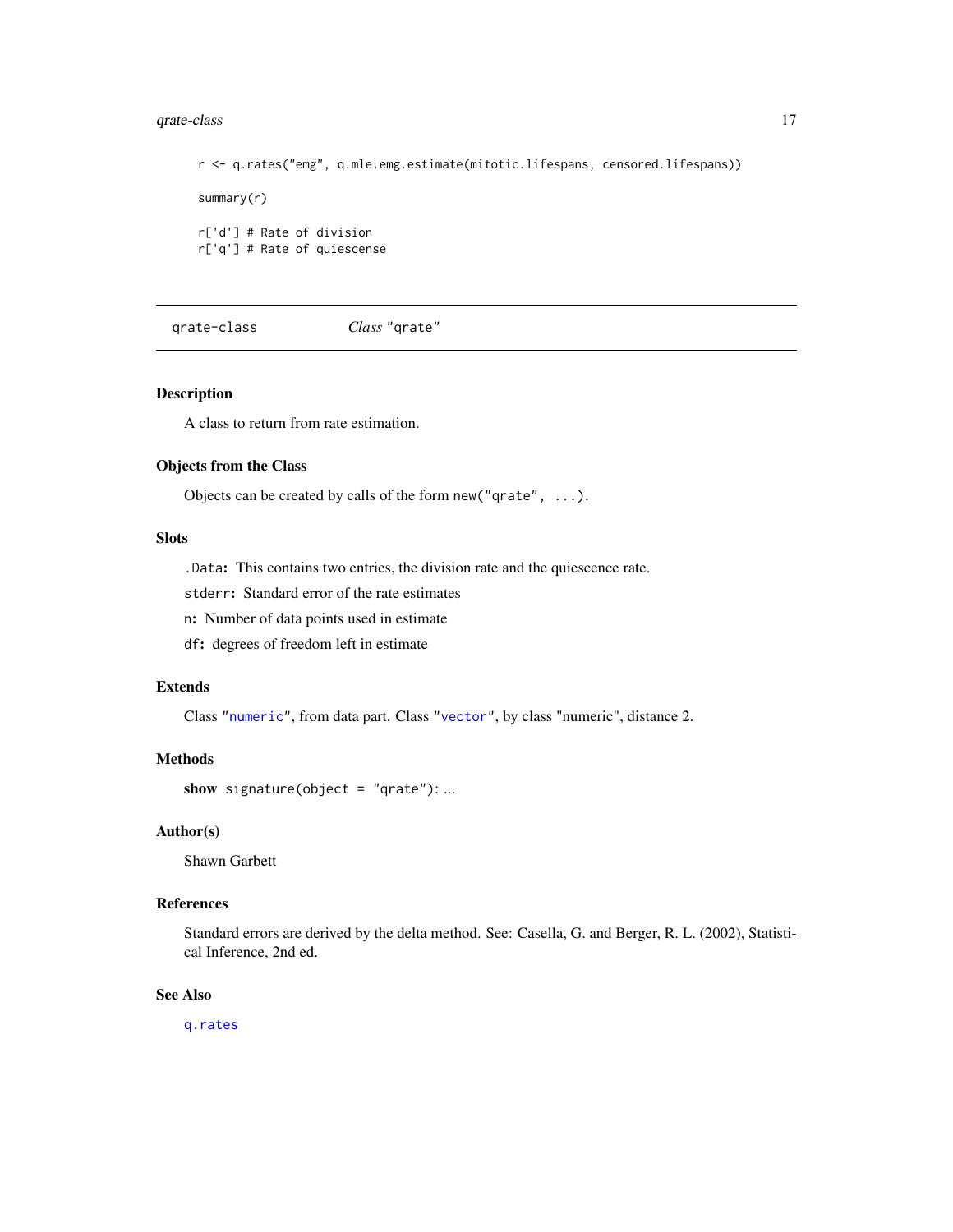### <span id="page-16-0"></span>qrate-class 17

r <- q.rates("emg", q.mle.emg.estimate(mitotic.lifespans, censored.lifespans)) summary(r) r['d'] # Rate of division r['q'] # Rate of quiescense

qrate-class *Class* "qrate"

### Description

A class to return from rate estimation.

### Objects from the Class

Objects can be created by calls of the form new("qrate", ...).

### Slots

.Data: This contains two entries, the division rate and the quiescence rate.

stderr: Standard error of the rate estimates

n: Number of data points used in estimate

df: degrees of freedom left in estimate

#### Extends

Class ["numeric"](#page-0-0), from data part. Class ["vector"](#page-0-0), by class "numeric", distance 2.

#### Methods

show signature(object = "qrate"): ...

### Author(s)

Shawn Garbett

#### References

Standard errors are derived by the delta method. See: Casella, G. and Berger, R. L. (2002), Statistical Inference, 2nd ed.

### See Also

[q.rates](#page-15-1)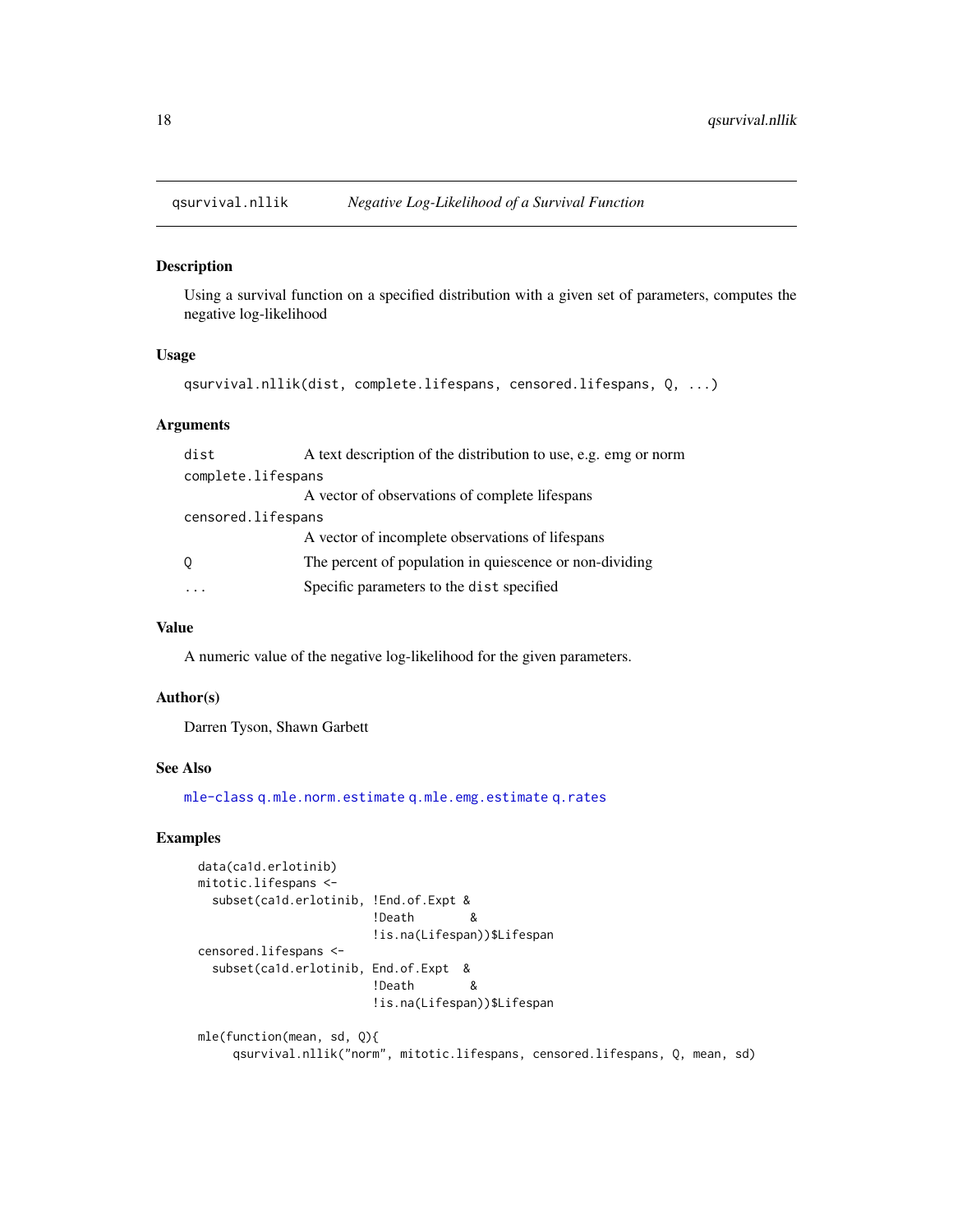<span id="page-17-1"></span><span id="page-17-0"></span>

#### Description

Using a survival function on a specified distribution with a given set of parameters, computes the negative log-likelihood

#### Usage

```
qsurvival.nllik(dist, complete.lifespans, censored.lifespans, Q, ...)
```
#### Arguments

| dist               | A text description of the distribution to use, e.g. emg or norm |
|--------------------|-----------------------------------------------------------------|
| complete.lifespans |                                                                 |
|                    | A vector of observations of complete lifespans                  |
| censored.lifespans |                                                                 |
|                    | A vector of incomplete observations of lifespans                |
| 0                  | The percent of population in quiescence or non-dividing         |
|                    | Specific parameters to the dist specified                       |

#### Value

A numeric value of the negative log-likelihood for the given parameters.

#### Author(s)

Darren Tyson, Shawn Garbett

### See Also

[mle-class](#page-0-0) [q.mle.norm.estimate](#page-14-1) [q.mle.emg.estimate](#page-13-1) [q.rates](#page-15-1)

```
data(ca1d.erlotinib)
mitotic.lifespans <-
 subset(ca1d.erlotinib, !End.of.Expt &
                       !Death &
                        !is.na(Lifespan))$Lifespan
censored.lifespans <-
  subset(ca1d.erlotinib, End.of.Expt &
                        !Death &
                        !is.na(Lifespan))$Lifespan
mle(function(mean, sd, Q){
    qsurvival.nllik("norm", mitotic.lifespans, censored.lifespans, Q, mean, sd)
```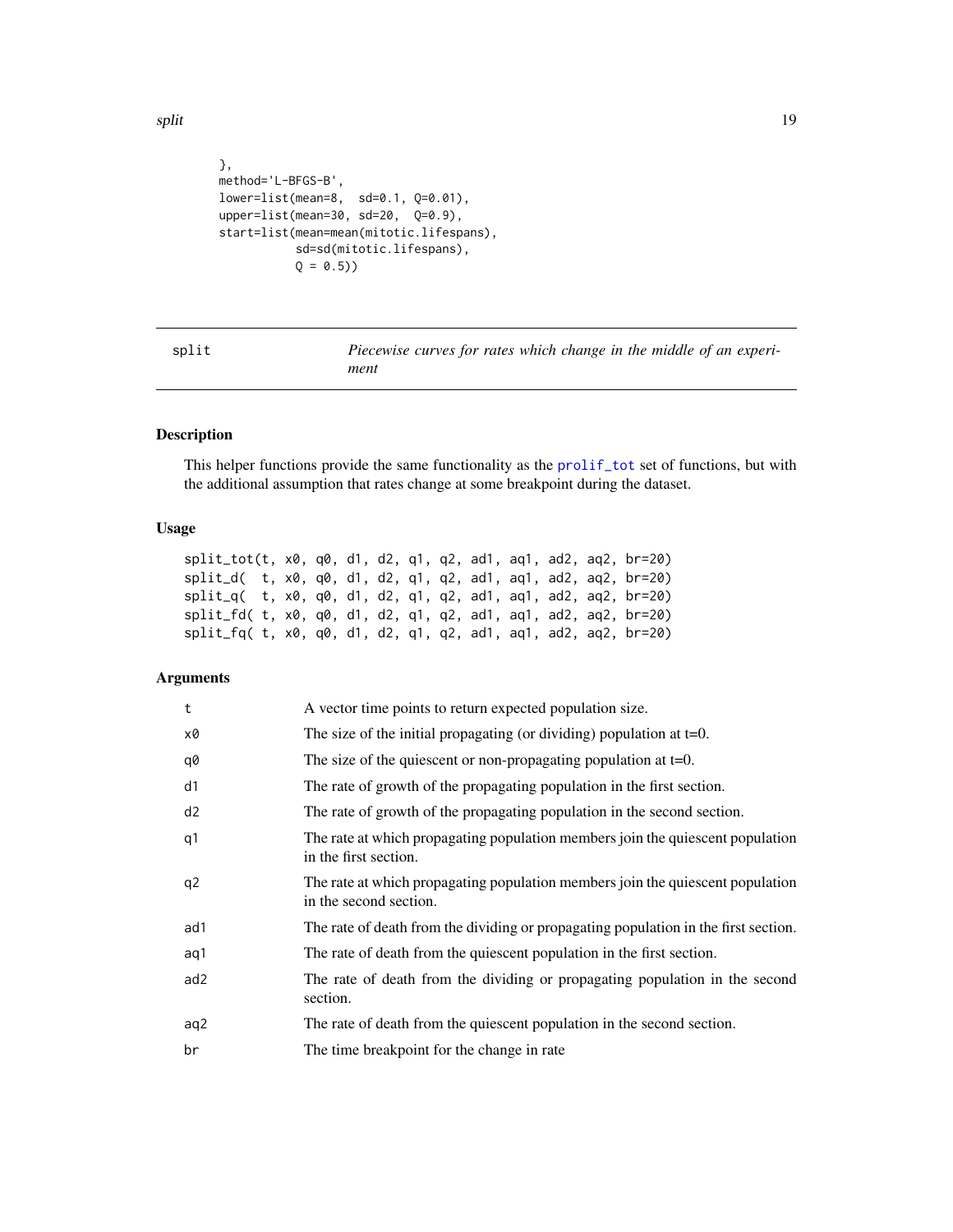<span id="page-18-0"></span>split the set of the set of the set of the set of the set of the set of the set of the set of the set of the set of the set of the set of the set of the set of the set of the set of the set of the set of the set of the set

```
},
method='L-BFGS-B',
lower=list(mean=8, sd=0.1, Q=0.01),
upper=list(mean=30, sd=20, Q=0.9),
start=list(mean=mean(mitotic.lifespans),
          sd=sd(mitotic.lifespans),
          Q = 0.5)
```
split *Piecewise curves for rates which change in the middle of an experiment*

### Description

This helper functions provide the same functionality as the [prolif\\_tot](#page-12-1) set of functions, but with the additional assumption that rates change at some breakpoint during the dataset.

### Usage

| $split\_tot(t, x0, q0, d1, d2, q1, q2, ad1, aq1, ad2, aq2, br=20)$     |  |  |  |  |  |  |
|------------------------------------------------------------------------|--|--|--|--|--|--|
| $split_d($ t, $x0$ , $q0$ , d1, d2, q1, q2, ad1, aq1, ad2, aq2, br=20) |  |  |  |  |  |  |
| $split_q( t, x0, q0, d1, d2, q1, q2, ad1, aq1, ad2, aq2, br=20)$       |  |  |  |  |  |  |
| split_fd( t, x0, q0, d1, d2, q1, q2, ad1, aq1, ad2, aq2, br=20)        |  |  |  |  |  |  |
| split_fq( t, x0, q0, d1, d2, q1, q2, ad1, aq1, ad2, aq2, br=20)        |  |  |  |  |  |  |

### Arguments

| t   | A vector time points to return expected population size.                                                 |
|-----|----------------------------------------------------------------------------------------------------------|
| х0  | The size of the initial propagating (or dividing) population at $t=0$ .                                  |
| q0  | The size of the quiescent or non-propagating population at $t=0$ .                                       |
| d1  | The rate of growth of the propagating population in the first section.                                   |
| d2  | The rate of growth of the propagating population in the second section.                                  |
| q1  | The rate at which propagating population members join the quiescent population<br>in the first section.  |
| q2  | The rate at which propagating population members join the quiescent population<br>in the second section. |
| ad1 | The rate of death from the dividing or propagating population in the first section.                      |
| aq1 | The rate of death from the quiescent population in the first section.                                    |
| ad2 | The rate of death from the dividing or propagating population in the second<br>section.                  |
| aq2 | The rate of death from the quiescent population in the second section.                                   |
| br  | The time breakpoint for the change in rate                                                               |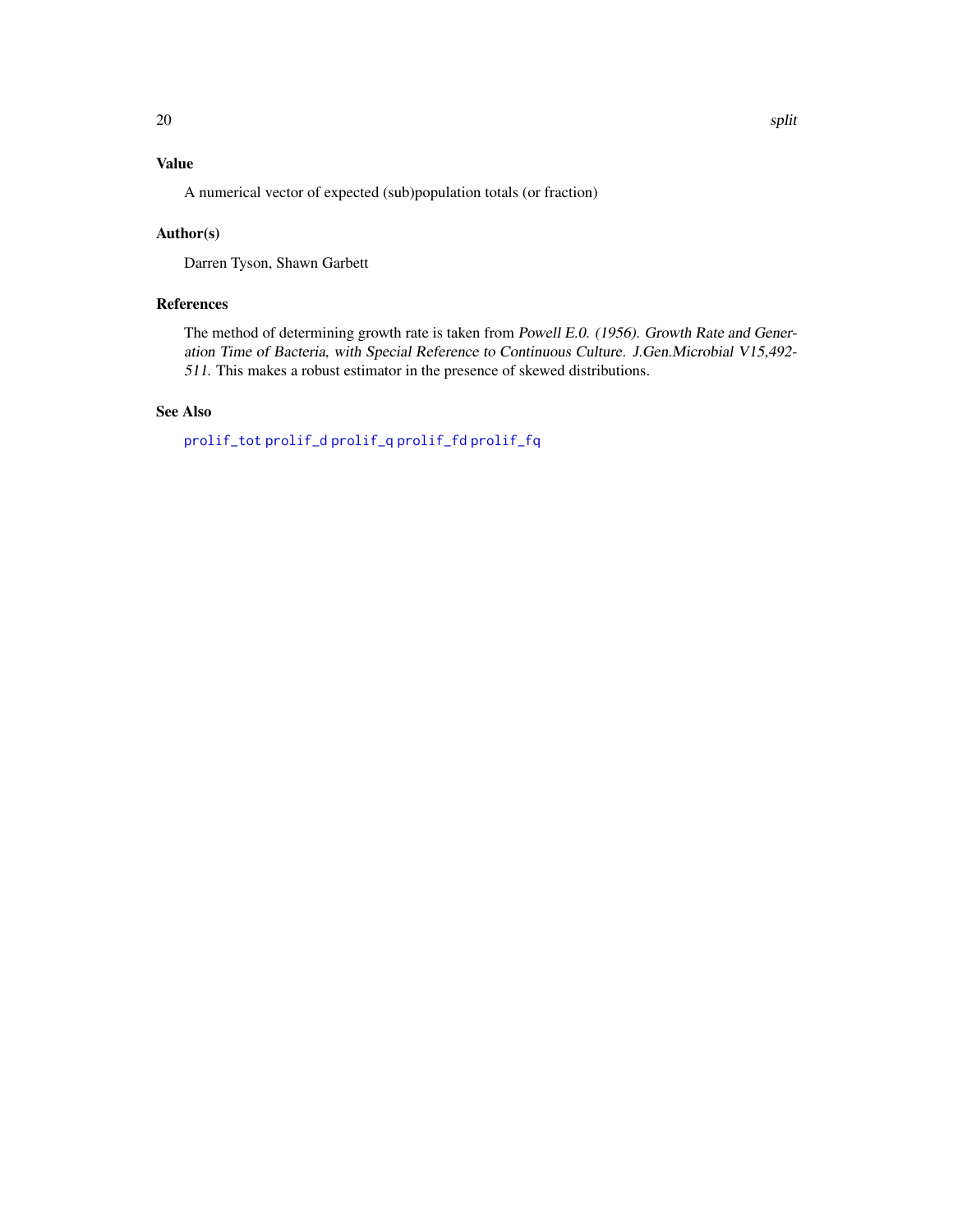### <span id="page-19-0"></span>Value

A numerical vector of expected (sub)population totals (or fraction)

### Author(s)

Darren Tyson, Shawn Garbett

### References

The method of determining growth rate is taken from Powell E.0. (1956). Growth Rate and Generation Time of Bacteria, with Special Reference to Continuous Culture. J.Gen.Microbial V15,492- 511. This makes a robust estimator in the presence of skewed distributions.

### See Also

[prolif\\_tot](#page-12-1) [prolif\\_d](#page-8-1) [prolif\\_q](#page-11-1) [prolif\\_fd](#page-9-1) [prolif\\_fq](#page-10-1)